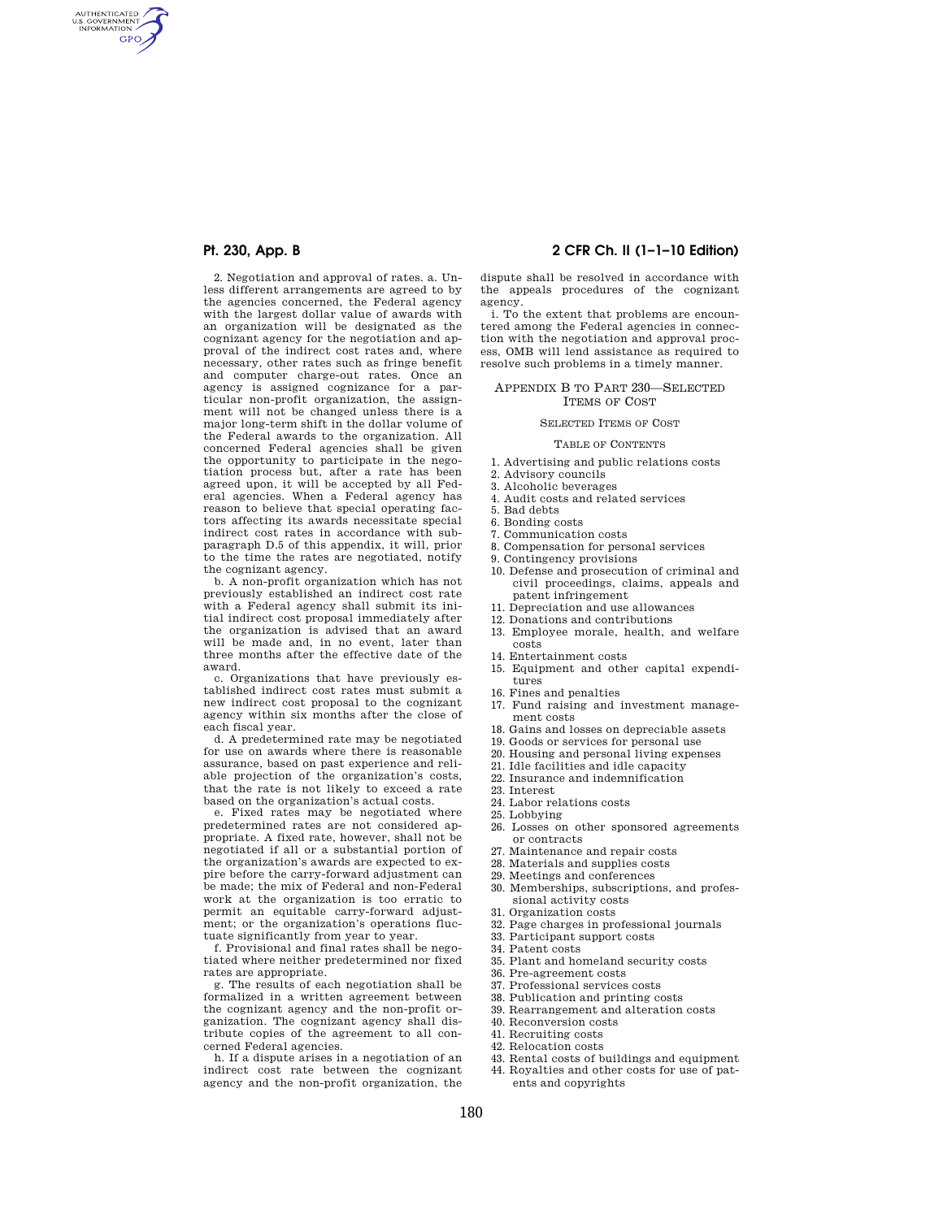AUTHENTICATED<br>U.S. GOVERNMENT<br>INFORMATION **GPO** 

> 2. Negotiation and approval of rates. a. Unless different arrangements are agreed to by the agencies concerned, the Federal agency with the largest dollar value of awards with an organization will be designated as the cognizant agency for the negotiation and approval of the indirect cost rates and, where necessary, other rates such as fringe benefit and computer charge-out rates. Once an agency is assigned cognizance for a particular non-profit organization, the assignment will not be changed unless there is a major long-term shift in the dollar volume of the Federal awards to the organization. All concerned Federal agencies shall be given the opportunity to participate in the negotiation process but, after a rate has been agreed upon, it will be accepted by all Federal agencies. When a Federal agency has reason to believe that special operating factors affecting its awards necessitate special indirect cost rates in accordance with subparagraph D.5 of this appendix, it will, prior to the time the rates are negotiated, notify the cognizant agency.

> b. A non-profit organization which has not previously established an indirect cost rate with a Federal agency shall submit its initial indirect cost proposal immediately after the organization is advised that an award will be made and, in no event, later than three months after the effective date of the award.

> c. Organizations that have previously established indirect cost rates must submit a new indirect cost proposal to the cognizant agency within six months after the close of each fiscal year.

> d. A predetermined rate may be negotiated for use on awards where there is reasonable assurance, based on past experience and reliable projection of the organization's costs, that the rate is not likely to exceed a rate based on the organization's actual costs.

> e. Fixed rates may be negotiated where predetermined rates are not considered appropriate. A fixed rate, however, shall not be negotiated if all or a substantial portion of the organization's awards are expected to expire before the carry-forward adjustment can be made; the mix of Federal and non-Federal work at the organization is too erratic to permit an equitable carry-forward adjustment; or the organization's operations fluctuate significantly from year to year.

> f. Provisional and final rates shall be negotiated where neither predetermined nor fixed rates are appropriate.

> g. The results of each negotiation shall be formalized in a written agreement between the cognizant agency and the non-profit organization. The cognizant agency shall distribute copies of the agreement to all concerned Federal agencies.

> h. If a dispute arises in a negotiation of an indirect cost rate between the cognizant agency and the non-profit organization, the

## **Pt. 230, App. B 2 CFR Ch. II (1–1–10 Edition)**

dispute shall be resolved in accordance with the appeals procedures of the cognizant agency.

i. To the extent that problems are encountered among the Federal agencies in connection with the negotiation and approval process, OMB will lend assistance as required to resolve such problems in a timely manner.

### APPENDIX B TO PART 230—SELECTED ITEMS OF COST

### SELECTED ITEMS OF COST

### TABLE OF CONTENTS

- 1. Advertising and public relations costs
- 2. Advisory councils
- 3. Alcoholic beverages
- 4. Audit costs and related services
- 5. Bad debts
- 6. Bonding costs
- 7. Communication costs
- 8. Compensation for personal services
- 9. Contingency provisions
- 10. Defense and prosecution of criminal and civil proceedings, claims, appeals and patent infringement
- 11. Depreciation and use allowances
- 12. Donations and contributions
- 13. Employee morale, health, and welfare costs
- 14. Entertainment costs
- 15. Equipment and other capital expenditures
- 16. Fines and penalties
- 17. Fund raising and investment management costs
- 18. Gains and losses on depreciable assets
- 19. Goods or services for personal use
- 20. Housing and personal living expenses
- 21. Idle facilities and idle capacity
- 22. Insurance and indemnification
- 23. Interest
- 24. Labor relations costs
- 25. Lobbying
- 26. Losses on other sponsored agreements or contracts
- 27. Maintenance and repair costs
- 28. Materials and supplies costs
- 29. Meetings and conferences
- 30. Memberships, subscriptions, and professional activity costs
- 31. Organization costs
- 32. Page charges in professional journals
- 33. Participant support costs
- 34. Patent costs
- 35. Plant and homeland security costs
- 36. Pre-agreement costs
- 37. Professional services costs
- 38. Publication and printing costs
- 39. Rearrangement and alteration costs
- 40. Reconversion costs
- 41. Recruiting costs
- 42. Relocation costs
- 43. Rental costs of buildings and equipment
- 44. Royalties and other costs for use of patents and copyrights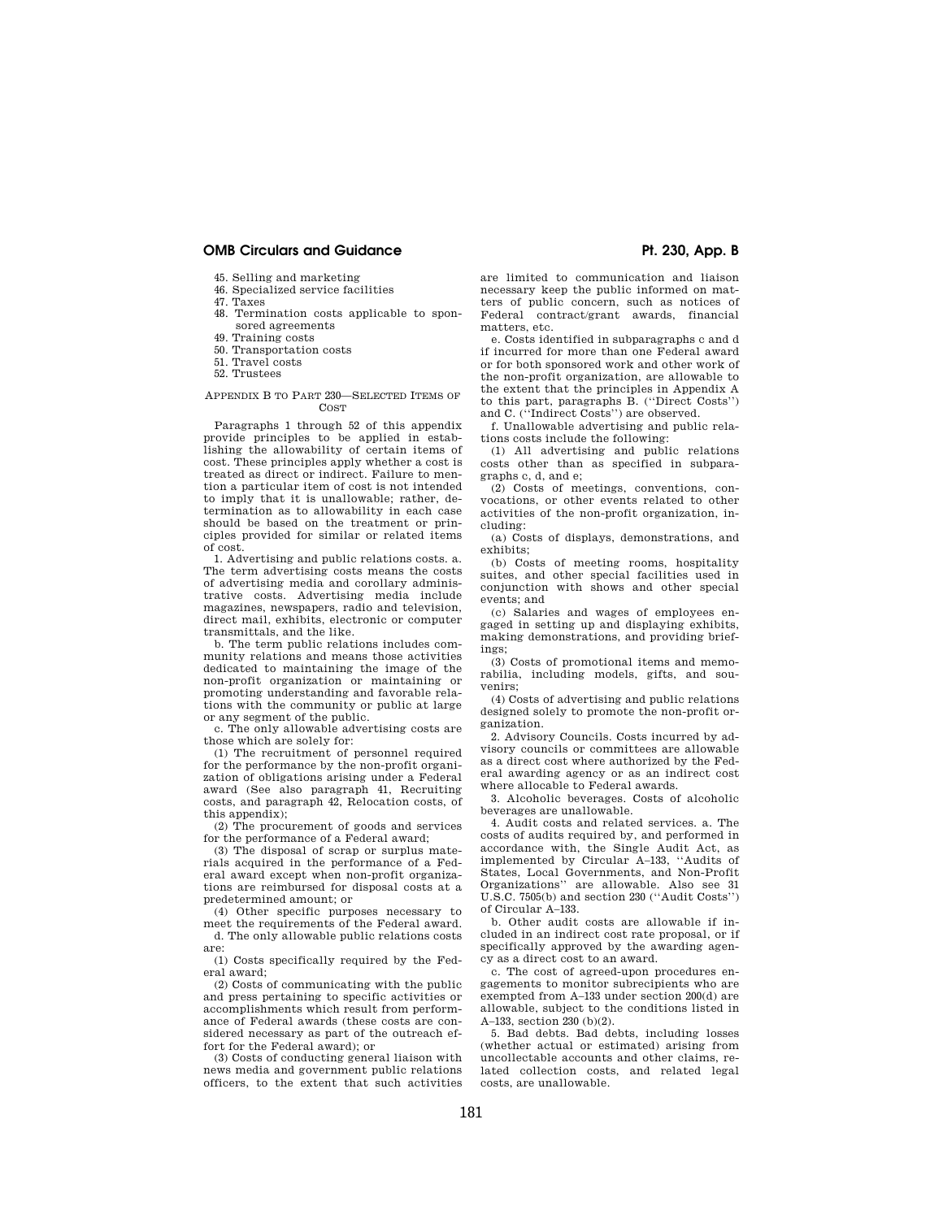45. Selling and marketing

46. Specialized service facilities

47. Taxes

- 48. Termination costs applicable to sponsored agreements
- 49. Training costs
- 50. Transportation costs

51. Travel costs

52. Trustees

### APPENDIX B TO PART 230—SELECTED ITEMS OF **COST**

Paragraphs 1 through 52 of this appendix provide principles to be applied in establishing the allowability of certain items of cost. These principles apply whether a cost is treated as direct or indirect. Failure to mention a particular item of cost is not intended to imply that it is unallowable; rather, determination as to allowability in each case should be based on the treatment or principles provided for similar or related items of cost.

1. Advertising and public relations costs. a. The term advertising costs means the costs of advertising media and corollary administrative costs. Advertising media include magazines, newspapers, radio and television, direct mail, exhibits, electronic or computer transmittals, and the like.

b. The term public relations includes community relations and means those activities dedicated to maintaining the image of the non-profit organization or maintaining or promoting understanding and favorable relations with the community or public at large or any segment of the public.

c. The only allowable advertising costs are those which are solely for:

(1) The recruitment of personnel required for the performance by the non-profit organization of obligations arising under a Federal award (See also paragraph 41, Recruiting costs, and paragraph 42, Relocation costs, of this appendix);

(2) The procurement of goods and services for the performance of a Federal award;

(3) The disposal of scrap or surplus materials acquired in the performance of a Federal award except when non-profit organizations are reimbursed for disposal costs at a predetermined amount; or

(4) Other specific purposes necessary to meet the requirements of the Federal award. d. The only allowable public relations costs

are: (1) Costs specifically required by the Federal award;

(2) Costs of communicating with the public and press pertaining to specific activities or accomplishments which result from performance of Federal awards (these costs are considered necessary as part of the outreach effort for the Federal award); or

(3) Costs of conducting general liaison with news media and government public relations officers, to the extent that such activities

are limited to communication and liaison necessary keep the public informed on matters of public concern, such as notices of Federal contract/grant awards, financial matters, etc.

e. Costs identified in subparagraphs c and d if incurred for more than one Federal award or for both sponsored work and other work of the non-profit organization, are allowable to the extent that the principles in Appendix A to this part, paragraphs B. (''Direct Costs'') and C. (''Indirect Costs'') are observed.

f. Unallowable advertising and public relations costs include the following:

(1) All advertising and public relations costs other than as specified in subparagraphs c, d, and e;

(2) Costs of meetings, conventions, convocations, or other events related to other activities of the non-profit organization, including:

(a) Costs of displays, demonstrations, and exhibits;

(b) Costs of meeting rooms, hospitality suites, and other special facilities used in conjunction with shows and other special events; and

(c) Salaries and wages of employees engaged in setting up and displaying exhibits, making demonstrations, and providing briefings;

(3) Costs of promotional items and memorabilia, including models, gifts, and souvenirs;

(4) Costs of advertising and public relations designed solely to promote the non-profit organization.

2. Advisory Councils. Costs incurred by advisory councils or committees are allowable as a direct cost where authorized by the Federal awarding agency or as an indirect cost where allocable to Federal awards.

3. Alcoholic beverages. Costs of alcoholic beverages are unallowable.

4. Audit costs and related services. a. The costs of audits required by, and performed in accordance with, the Single Audit Act, as implemented by Circular A–133, ''Audits of States, Local Governments, and Non-Profit Organizations'' are allowable. Also see 31 U.S.C. 7505(b) and section 230 (''Audit Costs'') of Circular A–133.

b. Other audit costs are allowable if included in an indirect cost rate proposal, or if specifically approved by the awarding agency as a direct cost to an award.

c. The cost of agreed-upon procedures engagements to monitor subrecipients who are exempted from A–133 under section 200(d) are allowable, subject to the conditions listed in A–133, section 230 (b)(2).

5. Bad debts. Bad debts, including losses (whether actual or estimated) arising from uncollectable accounts and other claims, related collection costs, and related legal costs, are unallowable.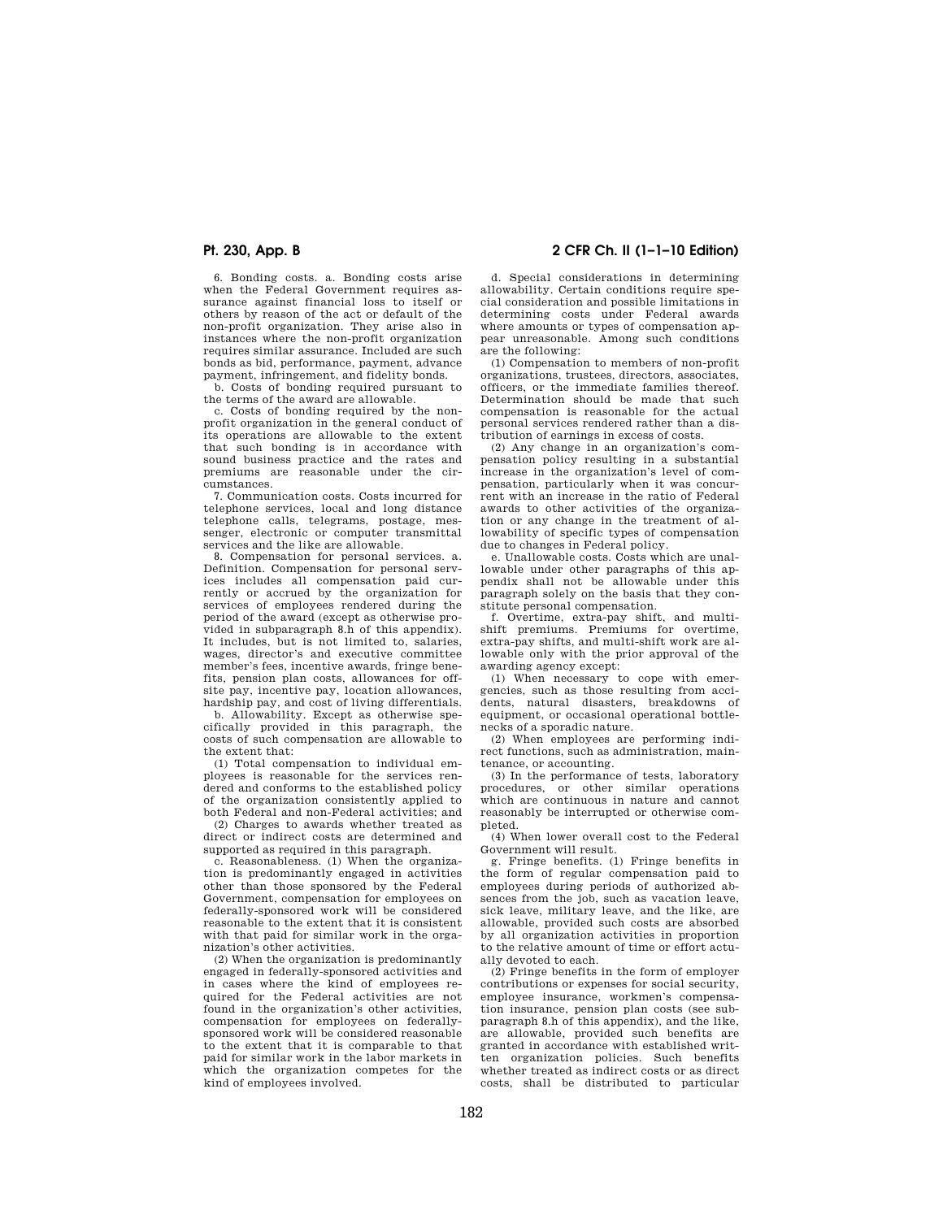6. Bonding costs. a. Bonding costs arise when the Federal Government requires assurance against financial loss to itself or others by reason of the act or default of the non-profit organization. They arise also in instances where the non-profit organization requires similar assurance. Included are such bonds as bid, performance, payment, advance payment, infringement, and fidelity bonds.

b. Costs of bonding required pursuant to the terms of the award are allowable.

c. Costs of bonding required by the nonprofit organization in the general conduct of its operations are allowable to the extent that such bonding is in accordance with sound business practice and the rates and premiums are reasonable under the circumstances.

7. Communication costs. Costs incurred for telephone services, local and long distance telephone calls, telegrams, postage, messenger, electronic or computer transmittal services and the like are allowable.

8. Compensation for personal services. a. Definition. Compensation for personal services includes all compensation paid currently or accrued by the organization for services of employees rendered during the period of the award (except as otherwise provided in subparagraph 8.h of this appendix). It includes, but is not limited to, salaries, wages, director's and executive committee member's fees, incentive awards, fringe benefits, pension plan costs, allowances for offsite pay, incentive pay, location allowances, hardship pay, and cost of living differentials.

b. Allowability. Except as otherwise specifically provided in this paragraph, the costs of such compensation are allowable to the extent that:

(1) Total compensation to individual employees is reasonable for the services rendered and conforms to the established policy of the organization consistently applied to both Federal and non-Federal activities; and

(2) Charges to awards whether treated as direct or indirect costs are determined and supported as required in this paragraph.

c. Reasonableness. (1) When the organization is predominantly engaged in activities other than those sponsored by the Federal Government, compensation for employees on federally-sponsored work will be considered reasonable to the extent that it is consistent with that paid for similar work in the organization's other activities.

(2) When the organization is predominantly engaged in federally-sponsored activities and in cases where the kind of employees required for the Federal activities are not found in the organization's other activities, compensation for employees on federallysponsored work will be considered reasonable to the extent that it is comparable to that paid for similar work in the labor markets in which the organization competes for the kind of employees involved.

## **Pt. 230, App. B 2 CFR Ch. II (1–1–10 Edition)**

d. Special considerations in determining allowability. Certain conditions require special consideration and possible limitations in determining costs under Federal awards where amounts or types of compensation appear unreasonable. Among such conditions are the following:

(1) Compensation to members of non-profit organizations, trustees, directors, associates, officers, or the immediate families thereof. Determination should be made that such compensation is reasonable for the actual personal services rendered rather than a distribution of earnings in excess of costs.

(2) Any change in an organization's compensation policy resulting in a substantial increase in the organization's level of compensation, particularly when it was concurrent with an increase in the ratio of Federal awards to other activities of the organization or any change in the treatment of allowability of specific types of compensation due to changes in Federal policy.

e. Unallowable costs. Costs which are unallowable under other paragraphs of this appendix shall not be allowable under this paragraph solely on the basis that they constitute personal compensation.

f. Overtime, extra-pay shift, and multishift premiums. Premiums for overtime, extra-pay shifts, and multi-shift work are allowable only with the prior approval of the awarding agency except:

(1) When necessary to cope with emergencies, such as those resulting from accidents, natural disasters, breakdowns of equipment, or occasional operational bottlenecks of a sporadic nature.

(2) When employees are performing indirect functions, such as administration, maintenance, or accounting.

(3) In the performance of tests, laboratory procedures, or other similar operations which are continuous in nature and cannot reasonably be interrupted or otherwise completed.

(4) When lower overall cost to the Federal Government will result.

g. Fringe benefits. (1) Fringe benefits in the form of regular compensation paid to employees during periods of authorized absences from the job, such as vacation leave, sick leave, military leave, and the like, are allowable, provided such costs are absorbed by all organization activities in proportion to the relative amount of time or effort actually devoted to each.

(2) Fringe benefits in the form of employer contributions or expenses for social security, employee insurance, workmen's compensation insurance, pension plan costs (see subparagraph 8.h of this appendix), and the like, are allowable, provided such benefits are granted in accordance with established written organization policies. Such benefits whether treated as indirect costs or as direct costs, shall be distributed to particular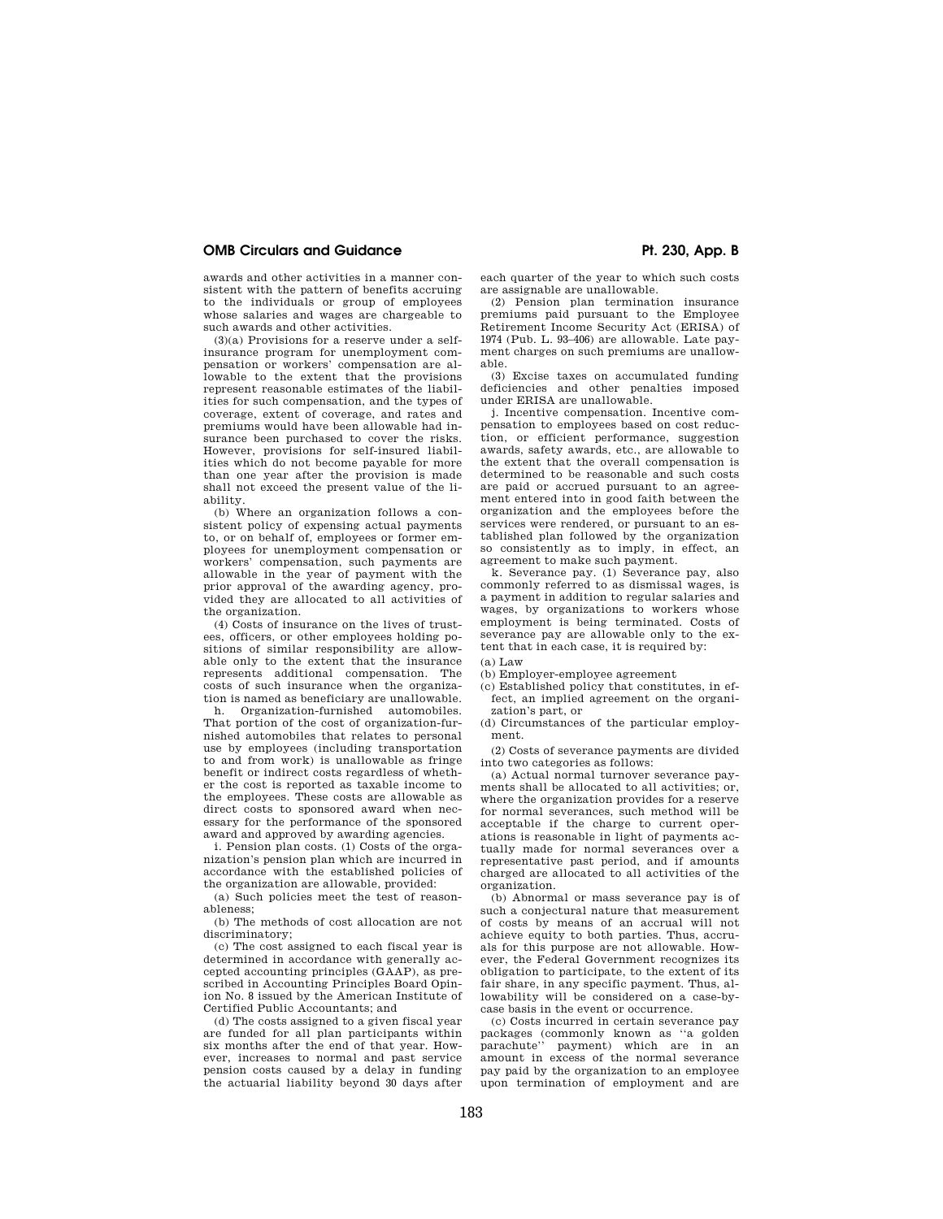### OMB Circulars and Guidance **Primary 2006 Pt. 230, App. B**

awards and other activities in a manner consistent with the pattern of benefits accruing to the individuals or group of employees whose salaries and wages are chargeable to such awards and other activities.

(3)(a) Provisions for a reserve under a selfinsurance program for unemployment compensation or workers' compensation are allowable to the extent that the provisions represent reasonable estimates of the liabilities for such compensation, and the types of coverage, extent of coverage, and rates and premiums would have been allowable had insurance been purchased to cover the risks. However, provisions for self-insured liabilities which do not become payable for more than one year after the provision is made shall not exceed the present value of the liability.

(b) Where an organization follows a consistent policy of expensing actual payments to, or on behalf of, employees or former employees for unemployment compensation or workers' compensation, such payments are allowable in the year of payment with the prior approval of the awarding agency, provided they are allocated to all activities of the organization.

(4) Costs of insurance on the lives of trustees, officers, or other employees holding positions of similar responsibility are allowable only to the extent that the insurance represents additional compensation. The costs of such insurance when the organization is named as beneficiary are unallowable.

h. Organization-furnished automobiles. That portion of the cost of organization-furnished automobiles that relates to personal use by employees (including transportation to and from work) is unallowable as fringe benefit or indirect costs regardless of whether the cost is reported as taxable income to the employees. These costs are allowable as direct costs to sponsored award when necessary for the performance of the sponsored award and approved by awarding agencies.

i. Pension plan costs. (1) Costs of the organization's pension plan which are incurred in accordance with the established policies of the organization are allowable, provided:

(a) Such policies meet the test of reasonableness;

(b) The methods of cost allocation are not discriminatory;

(c) The cost assigned to each fiscal year is determined in accordance with generally accepted accounting principles (GAAP), as prescribed in Accounting Principles Board Opinion No. 8 issued by the American Institute of Certified Public Accountants; and

(d) The costs assigned to a given fiscal year are funded for all plan participants within six months after the end of that year. However, increases to normal and past service pension costs caused by a delay in funding the actuarial liability beyond 30 days after

each quarter of the year to which such costs are assignable are unallowable.

(2) Pension plan termination insurance premiums paid pursuant to the Employee Retirement Income Security Act (ERISA) of 1974 (Pub. L. 93–406) are allowable. Late payment charges on such premiums are unallowable.

(3) Excise taxes on accumulated funding deficiencies and other penalties imposed under ERISA are unallowable.

j. Incentive compensation. Incentive compensation to employees based on cost reduction, or efficient performance, suggestion awards, safety awards, etc., are allowable to the extent that the overall compensation is determined to be reasonable and such costs are paid or accrued pursuant to an agreement entered into in good faith between the organization and the employees before the services were rendered, or pursuant to an established plan followed by the organization so consistently as to imply, in effect, an agreement to make such payment.

k. Severance pay. (1) Severance pay, also commonly referred to as dismissal wages, is a payment in addition to regular salaries and wages, by organizations to workers whose employment is being terminated. Costs of severance pay are allowable only to the extent that in each case, it is required by:

(a) Law

- (b) Employer-employee agreement
- (c) Established policy that constitutes, in effect, an implied agreement on the organization's part, or
- (d) Circumstances of the particular employment.

(2) Costs of severance payments are divided into two categories as follows:

(a) Actual normal turnover severance payments shall be allocated to all activities; or, where the organization provides for a reserve for normal severances, such method will be acceptable if the charge to current operations is reasonable in light of payments actually made for normal severances over a representative past period, and if amounts charged are allocated to all activities of the organization.

(b) Abnormal or mass severance pay is of such a conjectural nature that measurement of costs by means of an accrual will not achieve equity to both parties. Thus, accruals for this purpose are not allowable. However, the Federal Government recognizes its obligation to participate, to the extent of its fair share, in any specific payment. Thus, allowability will be considered on a case-bycase basis in the event or occurrence.

(c) Costs incurred in certain severance pay packages (commonly known as ''a golden parachute'' payment) which are in an amount in excess of the normal severance pay paid by the organization to an employee upon termination of employment and are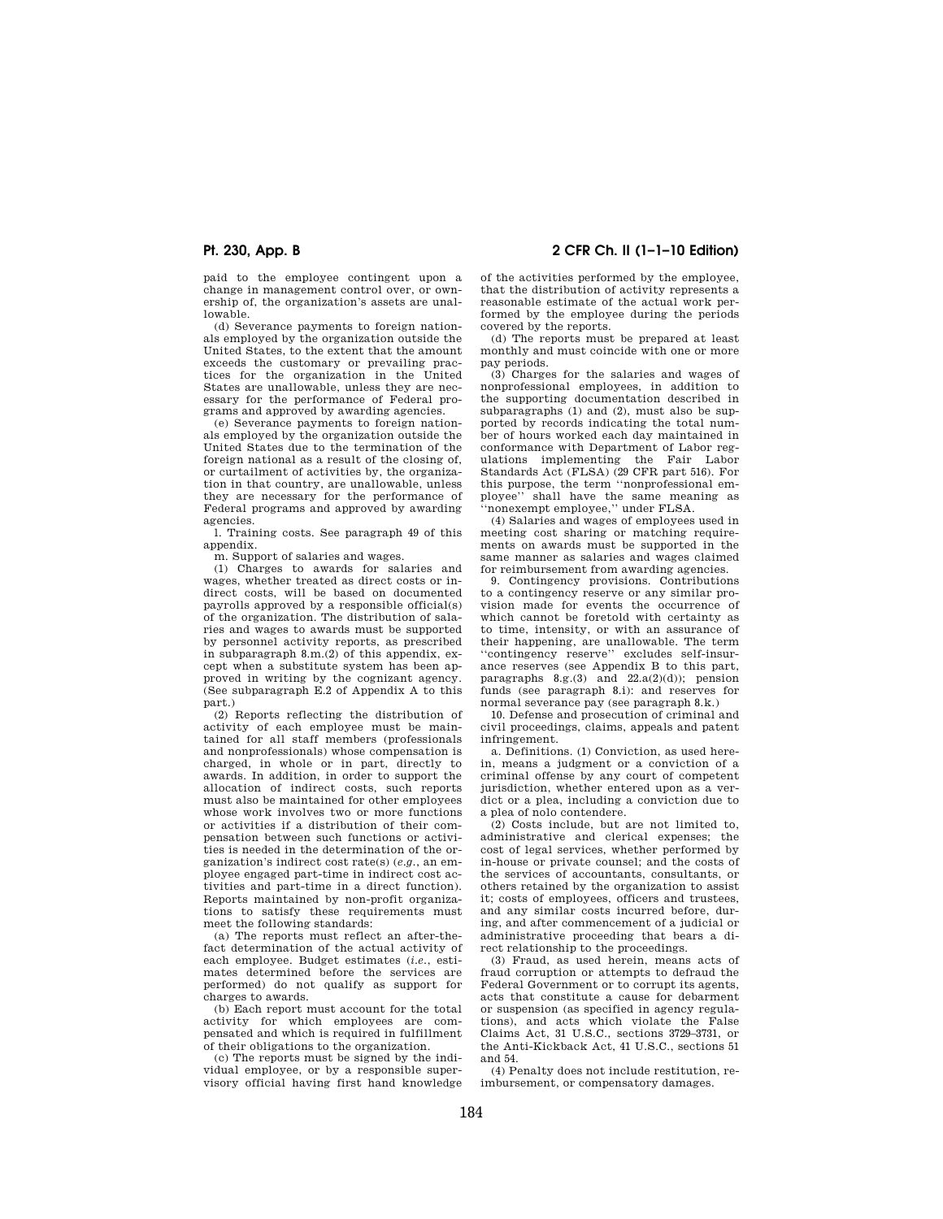paid to the employee contingent upon a change in management control over, or ownership of, the organization's assets are unallowable.

(d) Severance payments to foreign nationals employed by the organization outside the United States, to the extent that the amount exceeds the customary or prevailing practices for the organization in the United States are unallowable, unless they are necessary for the performance of Federal programs and approved by awarding agencies.

(e) Severance payments to foreign nationals employed by the organization outside the United States due to the termination of the foreign national as a result of the closing of, or curtailment of activities by, the organization in that country, are unallowable, unless they are necessary for the performance of Federal programs and approved by awarding agencies.

l. Training costs. See paragraph 49 of this appendix.

m. Support of salaries and wages.

(1) Charges to awards for salaries and wages, whether treated as direct costs or indirect costs, will be based on documented payrolls approved by a responsible official(s) of the organization. The distribution of salaries and wages to awards must be supported by personnel activity reports, as prescribed in subparagraph 8.m.(2) of this appendix, except when a substitute system has been approved in writing by the cognizant agency. (See subparagraph E.2 of Appendix A to this part.)

(2) Reports reflecting the distribution of activity of each employee must be maintained for all staff members (professionals and nonprofessionals) whose compensation is charged, in whole or in part, directly to awards. In addition, in order to support the allocation of indirect costs, such reports must also be maintained for other employees whose work involves two or more functions or activities if a distribution of their compensation between such functions or activities is needed in the determination of the organization's indirect cost rate(s) (*e.g.*, an employee engaged part-time in indirect cost activities and part-time in a direct function). Reports maintained by non-profit organizations to satisfy these requirements must meet the following standards:

(a) The reports must reflect an after-thefact determination of the actual activity of each employee. Budget estimates (*i.e.*, estimates determined before the services are performed) do not qualify as support for charges to awards.

(b) Each report must account for the total activity for which employees are compensated and which is required in fulfillment of their obligations to the organization.

(c) The reports must be signed by the individual employee, or by a responsible supervisory official having first hand knowledge

**Pt. 230, App. B 2 CFR Ch. II (1–1–10 Edition)** 

of the activities performed by the employee, that the distribution of activity represents a reasonable estimate of the actual work performed by the employee during the periods covered by the reports.

(d) The reports must be prepared at least monthly and must coincide with one or more pay periods.

(3) Charges for the salaries and wages of nonprofessional employees, in addition to the supporting documentation described in subparagraphs (1) and (2), must also be supported by records indicating the total number of hours worked each day maintained in conformance with Department of Labor regulations implementing the Fair Labor Standards Act (FLSA) (29 CFR part 516). For this purpose, the term ''nonprofessional employee'' shall have the same meaning as ''nonexempt employee,'' under FLSA.

(4) Salaries and wages of employees used in meeting cost sharing or matching requirements on awards must be supported in the same manner as salaries and wages claimed for reimbursement from awarding agencies.

9. Contingency provisions. Contributions to a contingency reserve or any similar provision made for events the occurrence of which cannot be foretold with certainty as to time, intensity, or with an assurance of their happening, are unallowable. The term ''contingency reserve'' excludes self-insurance reserves (see Appendix B to this part, paragraphs 8.g.(3) and 22.a(2)(d)); pension funds (see paragraph 8.i): and reserves for normal severance pay (see paragraph 8.k.)

10. Defense and prosecution of criminal and civil proceedings, claims, appeals and patent infringement.

a. Definitions. (1) Conviction, as used herein, means a judgment or a conviction of a criminal offense by any court of competent jurisdiction, whether entered upon as a verdict or a plea, including a conviction due to a plea of nolo contendere.

(2) Costs include, but are not limited to, administrative and clerical expenses; the cost of legal services, whether performed by in-house or private counsel; and the costs of the services of accountants, consultants, or others retained by the organization to assist it; costs of employees, officers and trustees, and any similar costs incurred before, during, and after commencement of a judicial or administrative proceeding that bears a direct relationship to the proceedings.

(3) Fraud, as used herein, means acts of fraud corruption or attempts to defraud the Federal Government or to corrupt its agents, acts that constitute a cause for debarment or suspension (as specified in agency regulations), and acts which violate the False Claims Act, 31 U.S.C., sections 3729–3731, or the Anti-Kickback Act, 41 U.S.C., sections 51 and 54.

(4) Penalty does not include restitution, reimbursement, or compensatory damages.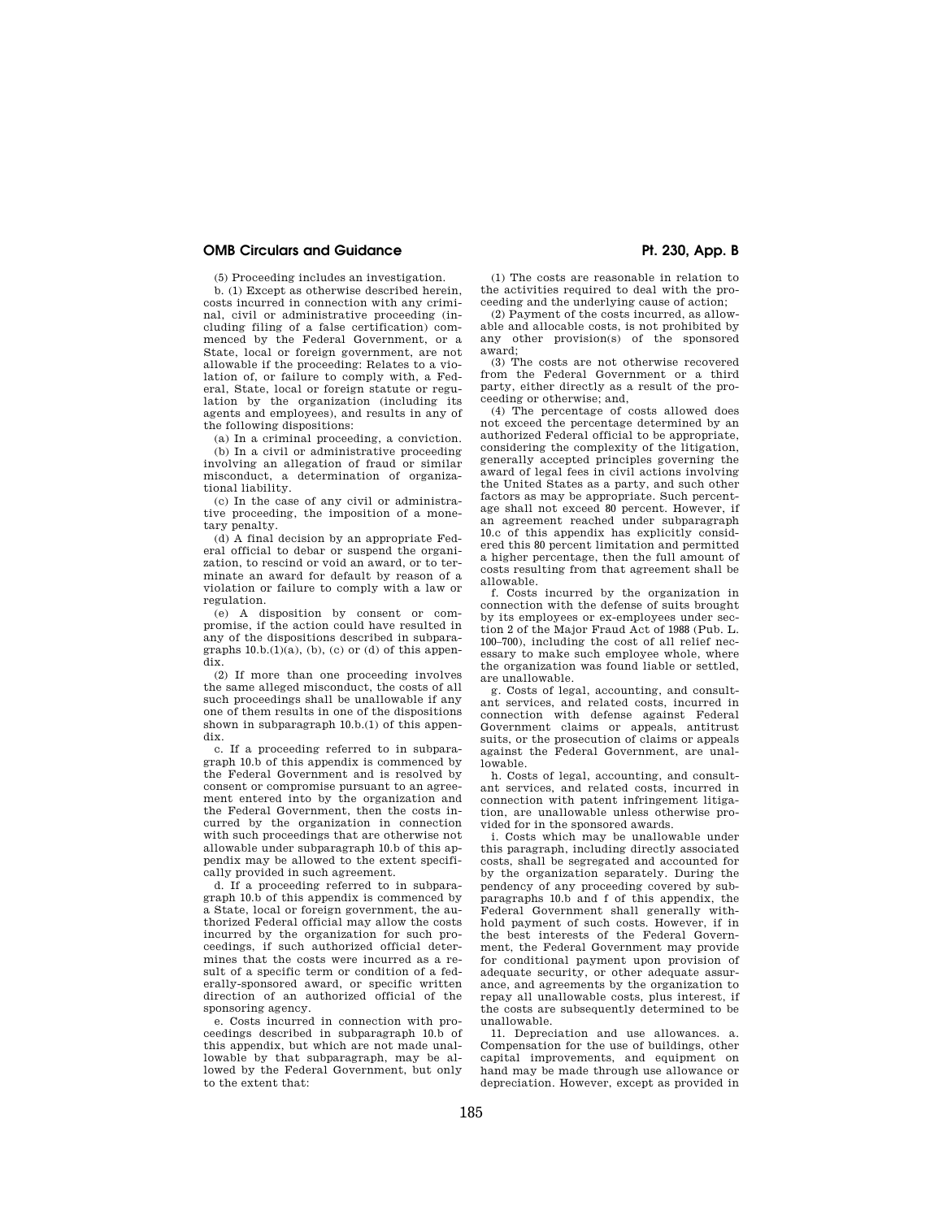(5) Proceeding includes an investigation.

b. (1) Except as otherwise described herein, costs incurred in connection with any criminal, civil or administrative proceeding (including filing of a false certification) commenced by the Federal Government, or a State, local or foreign government, are not allowable if the proceeding: Relates to a violation of, or failure to comply with, a Federal, State, local or foreign statute or regulation by the organization (including its agents and employees), and results in any of the following dispositions:

(a) In a criminal proceeding, a conviction. (b) In a civil or administrative proceeding involving an allegation of fraud or similar misconduct, a determination of organizational liability.

(c) In the case of any civil or administrative proceeding, the imposition of a monetary penalty.

(d) A final decision by an appropriate Federal official to debar or suspend the organization, to rescind or void an award, or to terminate an award for default by reason of a violation or failure to comply with a law or regulation.

(e) A disposition by consent or compromise, if the action could have resulted in any of the dispositions described in subparagraphs  $10.b.(1)(a)$ , (b), (c) or (d) of this appendix.

(2) If more than one proceeding involves the same alleged misconduct, the costs of all such proceedings shall be unallowable if any one of them results in one of the dispositions shown in subparagraph 10.b.(1) of this appendix.

c. If a proceeding referred to in subparagraph 10.b of this appendix is commenced by the Federal Government and is resolved by consent or compromise pursuant to an agreement entered into by the organization and the Federal Government, then the costs incurred by the organization in connection with such proceedings that are otherwise not allowable under subparagraph 10.b of this appendix may be allowed to the extent specifically provided in such agreement.

d. If a proceeding referred to in subparagraph 10.b of this appendix is commenced by a State, local or foreign government, the authorized Federal official may allow the costs incurred by the organization for such proceedings, if such authorized official determines that the costs were incurred as a result of a specific term or condition of a federally-sponsored award, or specific written direction of an authorized official of the sponsoring agency.

e. Costs incurred in connection with proceedings described in subparagraph 10.b of this appendix, but which are not made unallowable by that subparagraph, may be allowed by the Federal Government, but only to the extent that:

(1) The costs are reasonable in relation to the activities required to deal with the proceeding and the underlying cause of action;

(2) Payment of the costs incurred, as allowable and allocable costs, is not prohibited by any other provision(s) of the sponsored award;

(3) The costs are not otherwise recovered from the Federal Government or a third party, either directly as a result of the proceeding or otherwise; and,

(4) The percentage of costs allowed does not exceed the percentage determined by an authorized Federal official to be appropriate, considering the complexity of the litigation, generally accepted principles governing the award of legal fees in civil actions involving the United States as a party, and such other factors as may be appropriate. Such percentage shall not exceed 80 percent. However, if an agreement reached under subparagraph 10.c of this appendix has explicitly considered this 80 percent limitation and permitted a higher percentage, then the full amount of costs resulting from that agreement shall be allowable.

f. Costs incurred by the organization in connection with the defense of suits brought by its employees or ex-employees under section 2 of the Major Fraud Act of 1988 (Pub. L. 100–700), including the cost of all relief necessary to make such employee whole, where the organization was found liable or settled, are unallowable.

g. Costs of legal, accounting, and consultant services, and related costs, incurred in connection with defense against Federal Government claims or appeals, antitrust suits, or the prosecution of claims or appeals against the Federal Government, are unallowable.

h. Costs of legal, accounting, and consultant services, and related costs, incurred in connection with patent infringement litigation, are unallowable unless otherwise provided for in the sponsored awards.

i. Costs which may be unallowable under this paragraph, including directly associated costs, shall be segregated and accounted for by the organization separately. During the pendency of any proceeding covered by subparagraphs 10.b and f of this appendix, the Federal Government shall generally withhold payment of such costs. However, if in the best interests of the Federal Government, the Federal Government may provide for conditional payment upon provision of adequate security, or other adequate assurance, and agreements by the organization to repay all unallowable costs, plus interest, if the costs are subsequently determined to be unallowable.

11. Depreciation and use allowances. a. Compensation for the use of buildings, other capital improvements, and equipment on hand may be made through use allowance or depreciation. However, except as provided in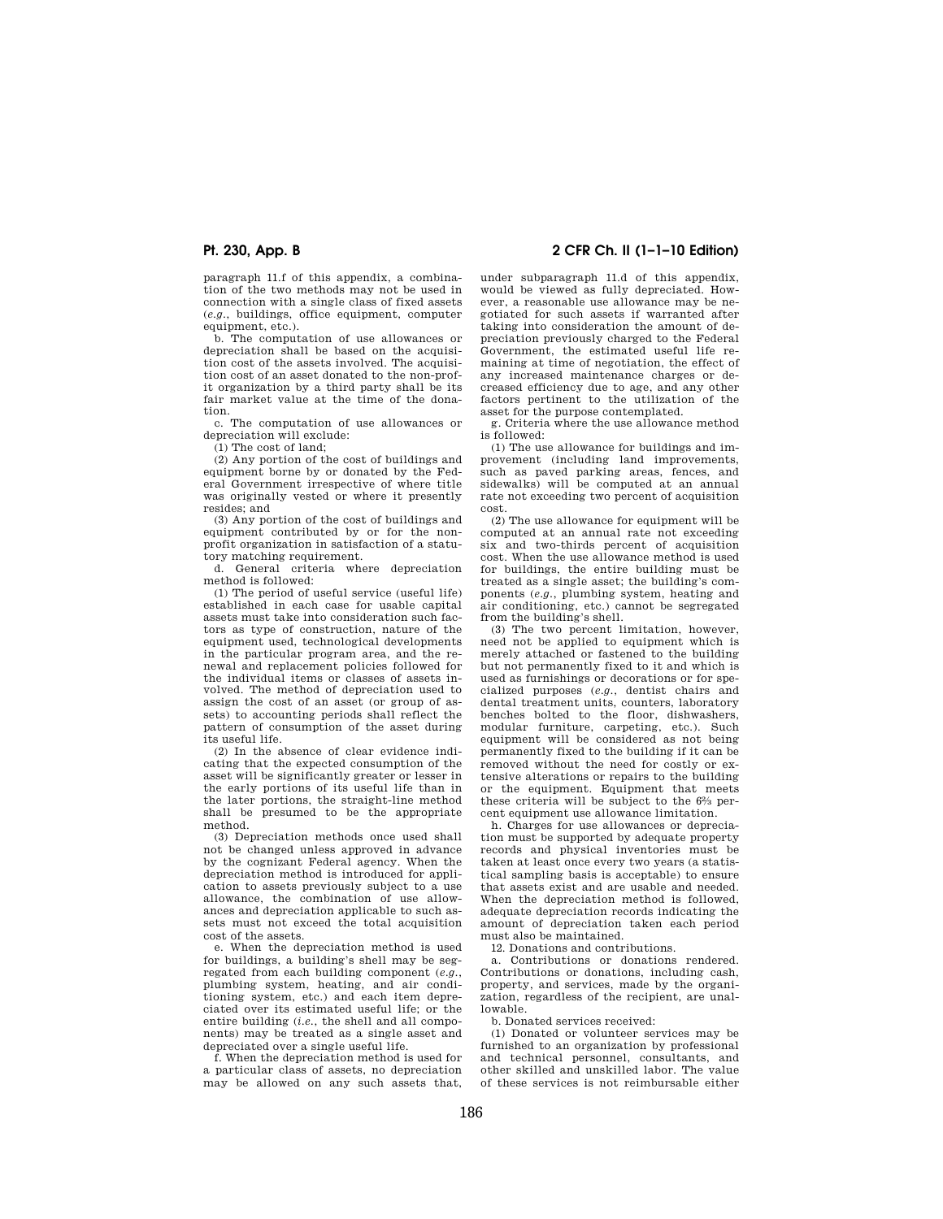paragraph 11.f of this appendix, a combination of the two methods may not be used in connection with a single class of fixed assets (*e.g.*, buildings, office equipment, computer equipment, etc.).

b. The computation of use allowances or depreciation shall be based on the acquisition cost of the assets involved. The acquisition cost of an asset donated to the non-profit organization by a third party shall be its fair market value at the time of the donation.

c. The computation of use allowances or depreciation will exclude:

(1) The cost of land;

(2) Any portion of the cost of buildings and equipment borne by or donated by the Federal Government irrespective of where title was originally vested or where it presently resides; and

(3) Any portion of the cost of buildings and equipment contributed by or for the nonprofit organization in satisfaction of a statutory matching requirement.

d. General criteria where depreciation method is followed:

(1) The period of useful service (useful life) established in each case for usable capital assets must take into consideration such factors as type of construction, nature of the equipment used, technological developments in the particular program area, and the renewal and replacement policies followed for the individual items or classes of assets involved. The method of depreciation used to assign the cost of an asset (or group of assets) to accounting periods shall reflect the pattern of consumption of the asset during its useful life.

(2) In the absence of clear evidence indicating that the expected consumption of the asset will be significantly greater or lesser in the early portions of its useful life than in the later portions, the straight-line method shall be presumed to be the appropriate method.

(3) Depreciation methods once used shall not be changed unless approved in advance by the cognizant Federal agency. When the depreciation method is introduced for application to assets previously subject to a use allowance, the combination of use allowances and depreciation applicable to such assets must not exceed the total acquisition cost of the assets.

e. When the depreciation method is used for buildings, a building's shell may be segregated from each building component (*e.g.*, plumbing system, heating, and air conditioning system, etc.) and each item depreciated over its estimated useful life; or the entire building  $(i.e.,$  the shell and all components) may be treated as a single asset and depreciated over a single useful life.

f. When the depreciation method is used for a particular class of assets, no depreciation may be allowed on any such assets that,

## **Pt. 230, App. B 2 CFR Ch. II (1–1–10 Edition)**

under subparagraph 11.d of this appendix, would be viewed as fully depreciated. However, a reasonable use allowance may be negotiated for such assets if warranted after taking into consideration the amount of depreciation previously charged to the Federal Government, the estimated useful life remaining at time of negotiation, the effect of any increased maintenance charges or decreased efficiency due to age, and any other factors pertinent to the utilization of the asset for the purpose contemplated.

g. Criteria where the use allowance method is followed:

(1) The use allowance for buildings and improvement (including land improvements, such as paved parking areas, fences, and sidewalks) will be computed at an annual rate not exceeding two percent of acquisition cost.

(2) The use allowance for equipment will be computed at an annual rate not exceeding six and two-thirds percent of acquisition cost. When the use allowance method is used for buildings, the entire building must be treated as a single asset; the building's components (*e.g.*, plumbing system, heating and air conditioning, etc.) cannot be segregated from the building's shell.

(3) The two percent limitation, however, need not be applied to equipment which is merely attached or fastened to the building but not permanently fixed to it and which is used as furnishings or decorations or for specialized purposes (*e.g.*, dentist chairs and dental treatment units, counters, laboratory benches bolted to the floor, dishwashers, modular furniture, carpeting, etc.). Such equipment will be considered as not being permanently fixed to the building if it can be removed without the need for costly or extensive alterations or repairs to the building or the equipment. Equipment that meets these criteria will be subject to the 62⁄3 percent equipment use allowance limitation.

h. Charges for use allowances or depreciation must be supported by adequate property records and physical inventories must be taken at least once every two years (a statistical sampling basis is acceptable) to ensure that assets exist and are usable and needed. When the depreciation method is followed, adequate depreciation records indicating the amount of depreciation taken each period must also be maintained.

12. Donations and contributions.

a. Contributions or donations rendered. Contributions or donations, including cash, property, and services, made by the organization, regardless of the recipient, are unallowable.

b. Donated services received:

(1) Donated or volunteer services may be furnished to an organization by professional and technical personnel, consultants, and other skilled and unskilled labor. The value of these services is not reimbursable either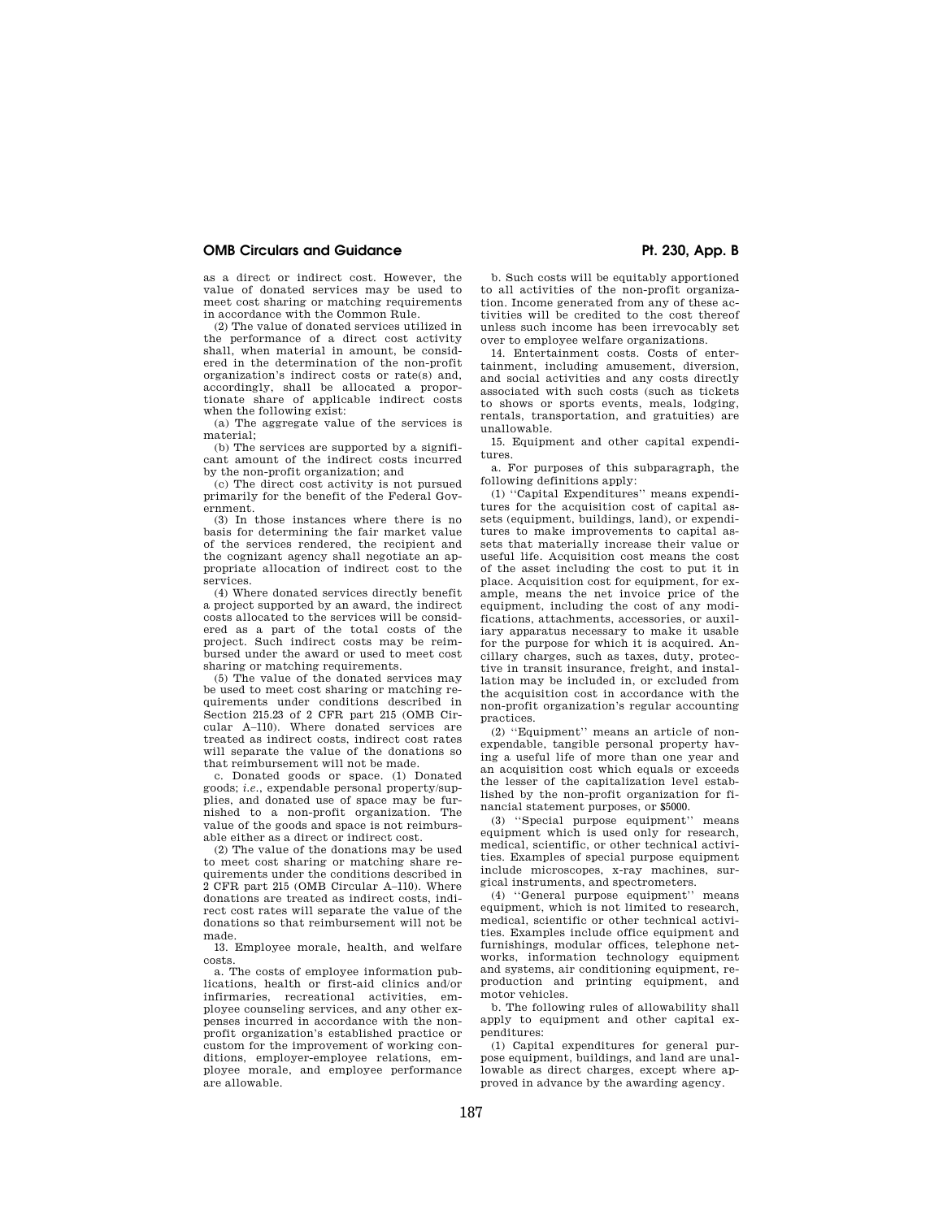as a direct or indirect cost. However, the value of donated services may be used to meet cost sharing or matching requirements in accordance with the Common Rule.

(2) The value of donated services utilized in the performance of a direct cost activity shall, when material in amount, be considered in the determination of the non-profit organization's indirect costs or rate(s) and, accordingly, shall be allocated a proportionate share of applicable indirect costs when the following exist:

(a) The aggregate value of the services is material;

(b) The services are supported by a significant amount of the indirect costs incurred by the non-profit organization; and

(c) The direct cost activity is not pursued primarily for the benefit of the Federal Government.

(3) In those instances where there is no basis for determining the fair market value of the services rendered, the recipient and the cognizant agency shall negotiate an appropriate allocation of indirect cost to the services.

(4) Where donated services directly benefit a project supported by an award, the indirect costs allocated to the services will be considered as a part of the total costs of the project. Such indirect costs may be reimbursed under the award or used to meet cost sharing or matching requirements.

(5) The value of the donated services may be used to meet cost sharing or matching requirements under conditions described in Section 215.23 of 2 CFR part 215 (OMB Circular A–110). Where donated services are treated as indirect costs, indirect cost rates will separate the value of the donations so that reimbursement will not be made.

c. Donated goods or space. (1) Donated goods; *i.e.*, expendable personal property/supplies, and donated use of space may be furnished to a non-profit organization. value of the goods and space is not reimbursable either as a direct or indirect cost.

(2) The value of the donations may be used to meet cost sharing or matching share requirements under the conditions described in 2 CFR part 215 (OMB Circular A–110). Where donations are treated as indirect costs, indirect cost rates will separate the value of the donations so that reimbursement will not be made.

13. Employee morale, health, and welfare costs.

a. The costs of employee information publications, health or first-aid clinics and/or infirmaries, recreational activities, employee counseling services, and any other expenses incurred in accordance with the nonprofit organization's established practice or custom for the improvement of working conditions, employer-employee relations, employee morale, and employee performance are allowable.

b. Such costs will be equitably apportioned to all activities of the non-profit organization. Income generated from any of these activities will be credited to the cost thereof unless such income has been irrevocably set over to employee welfare organizations.

14. Entertainment costs. Costs of entertainment, including amusement, diversion, and social activities and any costs directly associated with such costs (such as tickets to shows or sports events, meals, lodging, rentals, transportation, and gratuities) are unallowable.

15. Equipment and other capital expenditures.

a. For purposes of this subparagraph, the following definitions apply:

(1) ''Capital Expenditures'' means expenditures for the acquisition cost of capital assets (equipment, buildings, land), or expenditures to make improvements to capital assets that materially increase their value or useful life. Acquisition cost means the cost of the asset including the cost to put it in place. Acquisition cost for equipment, for example, means the net invoice price of the equipment, including the cost of any modifications, attachments, accessories, or auxiliary apparatus necessary to make it usable for the purpose for which it is acquired. Ancillary charges, such as taxes, duty, protective in transit insurance, freight, and installation may be included in, or excluded from the acquisition cost in accordance with the non-profit organization's regular accounting practices.

(2) ''Equipment'' means an article of nonexpendable, tangible personal property having a useful life of more than one year and an acquisition cost which equals or exceeds the lesser of the capitalization level established by the non-profit organization for financial statement purposes, or \$5000.

(3) ''Special purpose equipment'' means equipment which is used only for research, medical, scientific, or other technical activities. Examples of special purpose equipment include microscopes, x-ray machines, surgical instruments, and spectrometers.

(4) ''General purpose equipment'' means equipment, which is not limited to research, medical, scientific or other technical activities. Examples include office equipment and furnishings, modular offices, telephone networks, information technology equipment and systems, air conditioning equipment, reproduction and printing equipment, and motor vehicles.

b. The following rules of allowability shall apply to equipment and other capital expenditures:

(1) Capital expenditures for general purpose equipment, buildings, and land are unallowable as direct charges, except where approved in advance by the awarding agency.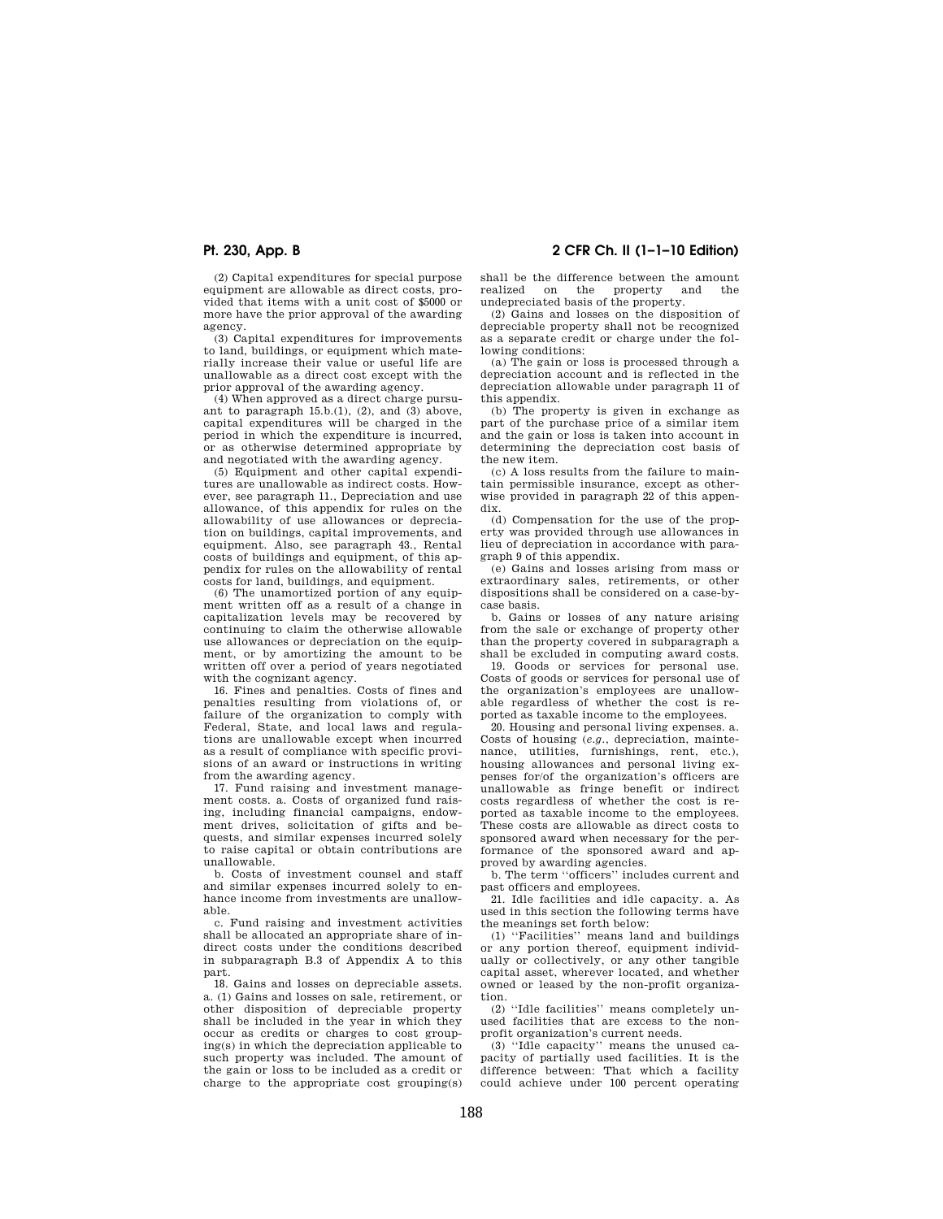**Pt. 230, App. B 2 CFR Ch. II (1–1–10 Edition)** 

(2) Capital expenditures for special purpose equipment are allowable as direct costs, provided that items with a unit cost of \$5000 or more have the prior approval of the awarding agency.

(3) Capital expenditures for improvements to land, buildings, or equipment which materially increase their value or useful life are unallowable as a direct cost except with the prior approval of the awarding agency.

(4) When approved as a direct charge pursuant to paragraph 15.b.(1), (2), and (3) above, capital expenditures will be charged in the period in which the expenditure is incurred, or as otherwise determined appropriate by and negotiated with the awarding agency.

(5) Equipment and other capital expenditures are unallowable as indirect costs. However, see paragraph 11., Depreciation and use allowance, of this appendix for rules on the allowability of use allowances or depreciation on buildings, capital improvements, and equipment. Also, see paragraph 43., Rental costs of buildings and equipment, of this appendix for rules on the allowability of rental costs for land, buildings, and equipment.

(6) The unamortized portion of any equipment written off as a result of a change in capitalization levels may be recovered by continuing to claim the otherwise allowable use allowances or depreciation on the equipment, or by amortizing the amount to be written off over a period of years negotiated with the cognizant agency.

16. Fines and penalties. Costs of fines and penalties resulting from violations of, or failure of the organization to comply with Federal, State, and local laws and regulations are unallowable except when incurred as a result of compliance with specific provisions of an award or instructions in writing from the awarding agency.

17. Fund raising and investment management costs. a. Costs of organized fund raising, including financial campaigns, endowment drives, solicitation of gifts and bequests, and similar expenses incurred solely to raise capital or obtain contributions are unallowable.

b. Costs of investment counsel and staff and similar expenses incurred solely to enhance income from investments are unallowable.

c. Fund raising and investment activities shall be allocated an appropriate share of indirect costs under the conditions described in subparagraph B.3 of Appendix A to this part.

18. Gains and losses on depreciable assets. a. (1) Gains and losses on sale, retirement, or other disposition of depreciable property shall be included in the year in which they occur as credits or charges to cost grouping(s) in which the depreciation applicable to such property was included. The amount of the gain or loss to be included as a credit or charge to the appropriate cost grouping(s) shall be the difference between the amount realized on the property and the undepreciated basis of the property.

(2) Gains and losses on the disposition of depreciable property shall not be recognized as a separate credit or charge under the following conditions:

(a) The gain or loss is processed through a depreciation account and is reflected in the depreciation allowable under paragraph 11 of this appendix.

(b) The property is given in exchange as part of the purchase price of a similar item and the gain or loss is taken into account in determining the depreciation cost basis of the new item.

(c) A loss results from the failure to maintain permissible insurance, except as otherwise provided in paragraph 22 of this appendix.

(d) Compensation for the use of the property was provided through use allowances in lieu of depreciation in accordance with paragraph 9 of this appendix.

(e) Gains and losses arising from mass or extraordinary sales, retirements, or other dispositions shall be considered on a case-bycase basis.

b. Gains or losses of any nature arising from the sale or exchange of property other than the property covered in subparagraph a shall be excluded in computing award costs.

19. Goods or services for personal use. Costs of goods or services for personal use of the organization's employees are unallowable regardless of whether the cost is reported as taxable income to the employees.

20. Housing and personal living expenses. a. Costs of housing (*e.g.*, depreciation, maintenance, utilities, furnishings, rent, etc.), housing allowances and personal living expenses for/of the organization's officers are unallowable as fringe benefit or indirect costs regardless of whether the cost is reported as taxable income to the employees. These costs are allowable as direct costs to sponsored award when necessary for the performance of the sponsored award and approved by awarding agencies.

b. The term ''officers'' includes current and past officers and employees.

21. Idle facilities and idle capacity. a. As used in this section the following terms have the meanings set forth below:

(1) ''Facilities'' means land and buildings or any portion thereof, equipment individually or collectively, or any other tangible capital asset, wherever located, and whether owned or leased by the non-profit organization.

(2) ''Idle facilities'' means completely unused facilities that are excess to the nonprofit organization's current needs.

(3) ''Idle capacity'' means the unused capacity of partially used facilities. It is the difference between: That which a facility could achieve under 100 percent operating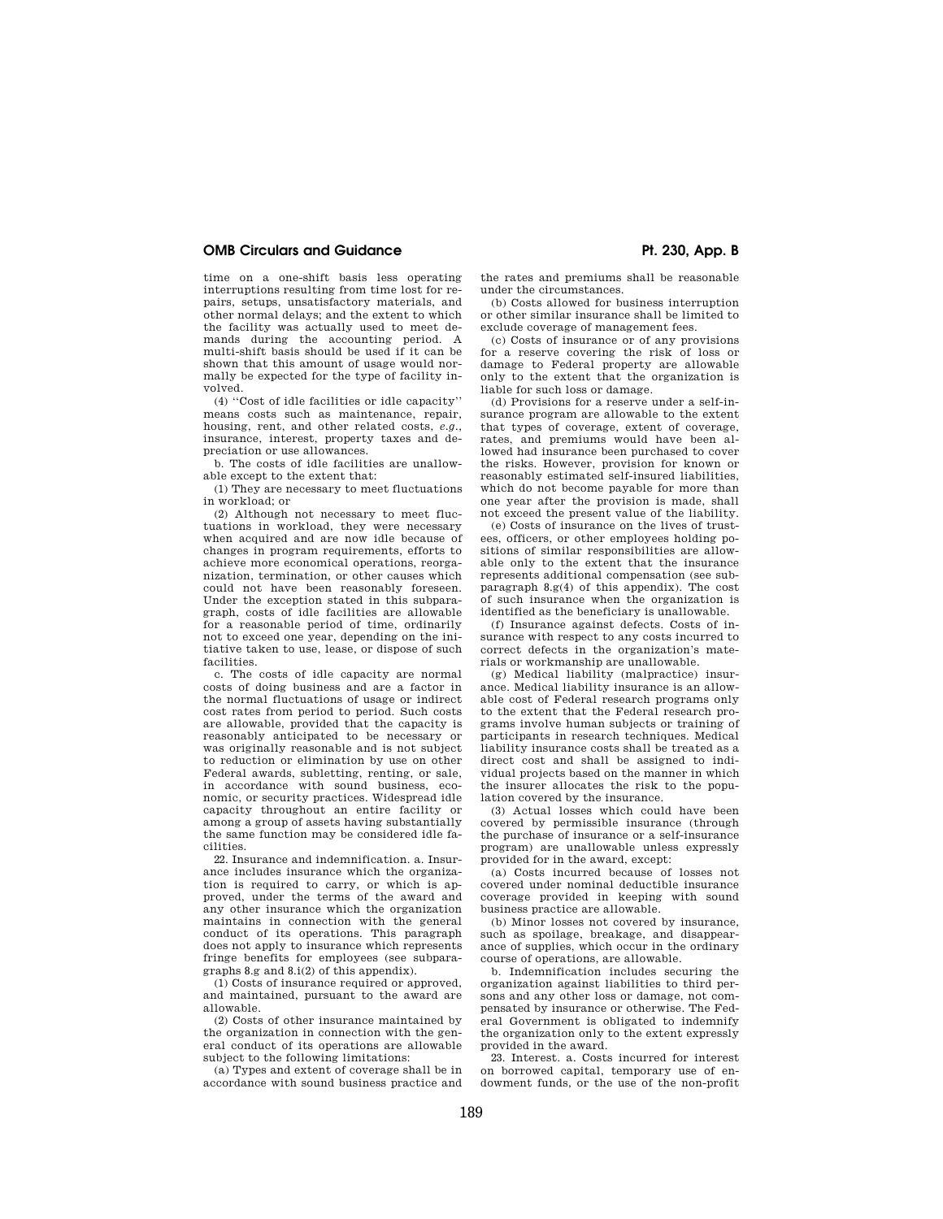# **OMB Circulars and Guidance Pt. 230, App. B**

time on a one-shift basis less operating interruptions resulting from time lost for repairs, setups, unsatisfactory materials, and other normal delays; and the extent to which the facility was actually used to meet demands during the accounting period. A multi-shift basis should be used if it can be shown that this amount of usage would normally be expected for the type of facility involved.

(4) ''Cost of idle facilities or idle capacity'' means costs such as maintenance, repair, housing, rent, and other related costs, *e.g.*, insurance, interest, property taxes and depreciation or use allowances.

b. The costs of idle facilities are unallowable except to the extent that:

(1) They are necessary to meet fluctuations in workload; or

(2) Although not necessary to meet fluctuations in workload, they were necessary when acquired and are now idle because of changes in program requirements, efforts to achieve more economical operations, reorganization, termination, or other causes which could not have been reasonably foreseen. Under the exception stated in this subparagraph, costs of idle facilities are allowable for a reasonable period of time, ordinarily not to exceed one year, depending on the initiative taken to use, lease, or dispose of such facilities.

c. The costs of idle capacity are normal costs of doing business and are a factor in the normal fluctuations of usage or indirect cost rates from period to period. Such costs are allowable, provided that the capacity is reasonably anticipated to be necessary or was originally reasonable and is not subject to reduction or elimination by use on other Federal awards, subletting, renting, or sale, in accordance with sound business, economic, or security practices. Widespread idle capacity throughout an entire facility or among a group of assets having substantially the same function may be considered idle facilities.

22. Insurance and indemnification. a. Insurance includes insurance which the organization is required to carry, or which is approved, under the terms of the award and any other insurance which the organization maintains in connection with the general conduct of its operations. This paragraph does not apply to insurance which represents fringe benefits for employees (see subparagraphs 8.g and 8.i(2) of this appendix).

(1) Costs of insurance required or approved, and maintained, pursuant to the award are allowable.

(2) Costs of other insurance maintained by the organization in connection with the general conduct of its operations are allowable subject to the following limitations:

(a) Types and extent of coverage shall be in accordance with sound business practice and the rates and premiums shall be reasonable under the circumstances.

(b) Costs allowed for business interruption or other similar insurance shall be limited to exclude coverage of management fees.

(c) Costs of insurance or of any provisions for a reserve covering the risk of loss or damage to Federal property are allowable only to the extent that the organization is liable for such loss or damage.

(d) Provisions for a reserve under a self-insurance program are allowable to the extent that types of coverage, extent of coverage, rates, and premiums would have been allowed had insurance been purchased to cover the risks. However, provision for known or reasonably estimated self-insured liabilities, which do not become payable for more than one year after the provision is made, shall not exceed the present value of the liability.

(e) Costs of insurance on the lives of trustees, officers, or other employees holding positions of similar responsibilities are allowable only to the extent that the insurance represents additional compensation (see subparagraph 8.g(4) of this appendix). The cost of such insurance when the organization is identified as the beneficiary is unallowable.

(f) Insurance against defects. Costs of insurance with respect to any costs incurred to correct defects in the organization's materials or workmanship are unallowable.

(g) Medical liability (malpractice) insurance. Medical liability insurance is an allowable cost of Federal research programs only to the extent that the Federal research programs involve human subjects or training of participants in research techniques. Medical liability insurance costs shall be treated as a direct cost and shall be assigned to individual projects based on the manner in which the insurer allocates the risk to the population covered by the insurance.

(3) Actual losses which could have been covered by permissible insurance (through the purchase of insurance or a self-insurance program) are unallowable unless expressly provided for in the award, except:

(a) Costs incurred because of losses not covered under nominal deductible insurance coverage provided in keeping with sound business practice are allowable.

(b) Minor losses not covered by insurance, such as spoilage, breakage, and disappearance of supplies, which occur in the ordinary course of operations, are allowable.

b. Indemnification includes securing the organization against liabilities to third persons and any other loss or damage, not compensated by insurance or otherwise. The Federal Government is obligated to indemnify the organization only to the extent expressly provided in the award.

23. Interest. a. Costs incurred for interest on borrowed capital, temporary use of endowment funds, or the use of the non-profit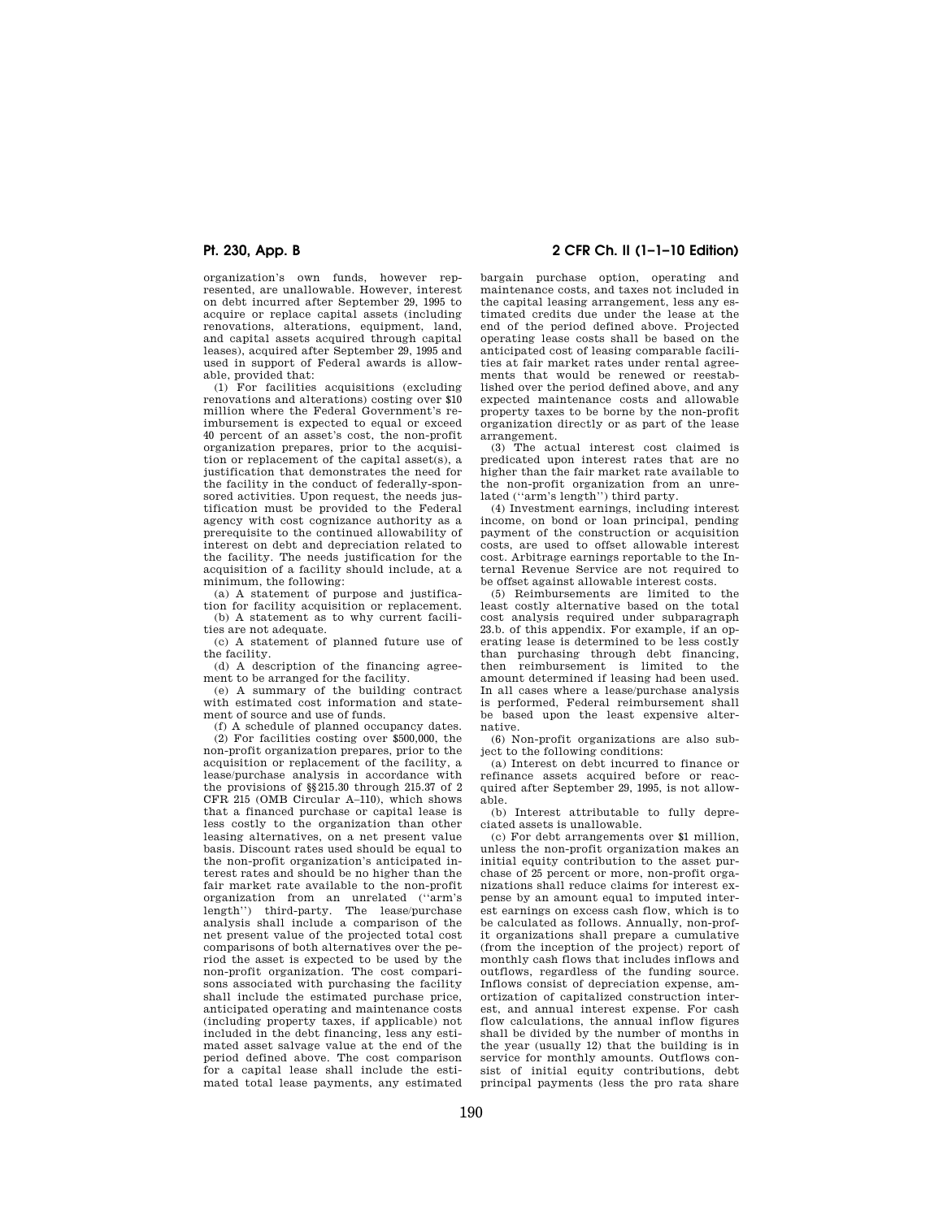organization's own funds, however represented, are unallowable. However, interest on debt incurred after September 29, 1995 to acquire or replace capital assets (including renovations, alterations, equipment, land, and capital assets acquired through capital leases), acquired after September 29, 1995 and used in support of Federal awards is allowable, provided that:

(1) For facilities acquisitions (excluding renovations and alterations) costing over \$10 million where the Federal Government's reimbursement is expected to equal or exceed 40 percent of an asset's cost, the non-profit organization prepares, prior to the acquisi-tion or replacement of the capital asset(s), a justification that demonstrates the need for the facility in the conduct of federally-sponsored activities. Upon request, the needs justification must be provided to the Federal agency with cost cognizance authority as a prerequisite to the continued allowability of interest on debt and depreciation related to the facility. The needs justification for the acquisition of a facility should include, at a minimum, the following:

(a) A statement of purpose and justification for facility acquisition or replacement. (b) A statement as to why current facili-

ties are not adequate. (c) A statement of planned future use of

the facility.

(d) A description of the financing agreement to be arranged for the facility.

(e) A summary of the building contract with estimated cost information and statement of source and use of funds.

(f) A schedule of planned occupancy dates. (2) For facilities costing over \$500,000, the non-profit organization prepares, prior to the acquisition or replacement of the facility, a lease/purchase analysis in accordance with the provisions of §§215.30 through 215.37 of 2 CFR 215 (OMB Circular A–110), which shows that a financed purchase or capital lease is less costly to the organization than other leasing alternatives, on a net present value basis. Discount rates used should be equal to the non-profit organization's anticipated interest rates and should be no higher than the fair market rate available to the non-profit organization from an unrelated (''arm's length'') third-party. The lease/purchase analysis shall include a comparison of the net present value of the projected total cost comparisons of both alternatives over the period the asset is expected to be used by the non-profit organization. The cost comparisons associated with purchasing the facility shall include the estimated purchase price, anticipated operating and maintenance costs (including property taxes, if applicable) not included in the debt financing, less any estimated asset salvage value at the end of the period defined above. The cost comparison for a capital lease shall include the estimated total lease payments, any estimated

# **Pt. 230, App. B 2 CFR Ch. II (1–1–10 Edition)**

bargain purchase option, operating and maintenance costs, and taxes not included in the capital leasing arrangement, less any estimated credits due under the lease at the end of the period defined above. Projected operating lease costs shall be based on the anticipated cost of leasing comparable facilities at fair market rates under rental agreements that would be renewed or reestablished over the period defined above, and any expected maintenance costs and allowable property taxes to be borne by the non-profit organization directly or as part of the lease arrangement.

(3) The actual interest cost claimed is predicated upon interest rates that are no higher than the fair market rate available to the non-profit organization from an unrelated (''arm's length'') third party.

(4) Investment earnings, including interest income, on bond or loan principal, pending payment of the construction or acquisition costs, are used to offset allowable interest cost. Arbitrage earnings reportable to the Internal Revenue Service are not required to be offset against allowable interest costs.

(5) Reimbursements are limited to the least costly alternative based on the total cost analysis required under subparagraph 23.b. of this appendix. For example, if an operating lease is determined to be less costly than purchasing through debt financing, then reimbursement is limited to the amount determined if leasing had been used. In all cases where a lease/purchase analysis is performed, Federal reimbursement shall be based upon the least expensive alternative.

(6) Non-profit organizations are also subject to the following conditions:

(a) Interest on debt incurred to finance or refinance assets acquired before or reacquired after September 29, 1995, is not allowable.

(b) Interest attributable to fully depreciated assets is unallowable.

(c) For debt arrangements over \$1 million, unless the non-profit organization makes an initial equity contribution to the asset purchase of 25 percent or more, non-profit organizations shall reduce claims for interest expense by an amount equal to imputed interest earnings on excess cash flow, which is to be calculated as follows. Annually, non-profit organizations shall prepare a cumulative (from the inception of the project) report of monthly cash flows that includes inflows and outflows, regardless of the funding source. Inflows consist of depreciation expense, amortization of capitalized construction interest, and annual interest expense. For cash flow calculations, the annual inflow figures shall be divided by the number of months in the year (usually 12) that the building is in service for monthly amounts. Outflows consist of initial equity contributions, debt principal payments (less the pro rata share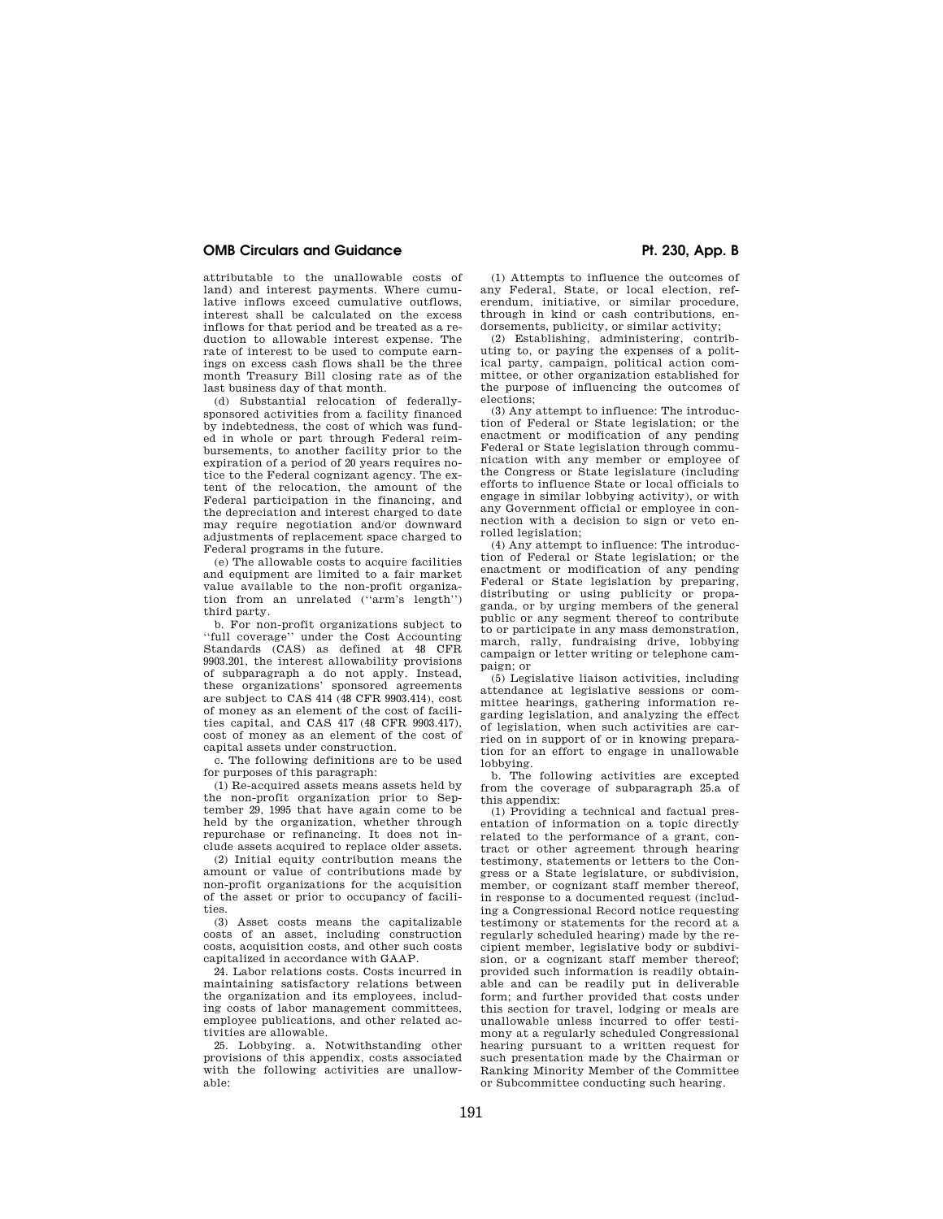attributable to the unallowable costs of land) and interest payments. Where cumulative inflows exceed cumulative outflows, interest shall be calculated on the excess inflows for that period and be treated as a reduction to allowable interest expense. The rate of interest to be used to compute earnings on excess cash flows shall be the three month Treasury Bill closing rate as of the last business day of that month.

(d) Substantial relocation of federallysponsored activities from a facility financed by indebtedness, the cost of which was funded in whole or part through Federal reimbursements, to another facility prior to the expiration of a period of 20 years requires notice to the Federal cognizant agency. The extent of the relocation, the amount of the Federal participation in the financing, and the depreciation and interest charged to date may require negotiation and/or downward adjustments of replacement space charged to Federal programs in the future.

(e) The allowable costs to acquire facilities and equipment are limited to a fair market value available to the non-profit organization from an unrelated (''arm's length'') third party.

b. For non-profit organizations subject to ''full coverage'' under the Cost Accounting Standards (CAS) as defined at 48 CFR 9903.201, the interest allowability provisions of subparagraph a do not apply. Instead, these organizations' sponsored agreements are subject to CAS 414 (48 CFR 9903.414), cost of money as an element of the cost of facilities capital, and CAS 417 (48 CFR 9903.417), cost of money as an element of the cost of capital assets under construction.

c. The following definitions are to be used for purposes of this paragraph:

(1) Re-acquired assets means assets held by the non-profit organization prior to September 29, 1995 that have again come to be held by the organization, whether through repurchase or refinancing. It does not include assets acquired to replace older assets.

(2) Initial equity contribution means the amount or value of contributions made by non-profit organizations for the acquisition of the asset or prior to occupancy of facilities.

(3) Asset costs means the capitalizable costs of an asset, including construction costs, acquisition costs, and other such costs capitalized in accordance with GAAP.

24. Labor relations costs. Costs incurred in maintaining satisfactory relations between the organization and its employees, including costs of labor management committees, employee publications, and other related activities are allowable.

25. Lobbying. a. Notwithstanding other provisions of this appendix, costs associated with the following activities are unallowable:

(1) Attempts to influence the outcomes of any Federal, State, or local election, referendum, initiative, or similar procedure, through in kind or cash contributions, endorsements, publicity, or similar activity;

(2) Establishing, administering, contributing to, or paying the expenses of a political party, campaign, political action committee, or other organization established for the purpose of influencing the outcomes of elections;

(3) Any attempt to influence: The introduction of Federal or State legislation; or the enactment or modification of any pending Federal or State legislation through communication with any member or employee of the Congress or State legislature (including efforts to influence State or local officials to engage in similar lobbying activity), or with any Government official or employee in connection with a decision to sign or veto enrolled legislation;

(4) Any attempt to influence: The introduction of Federal or State legislation; or the enactment or modification of any pending Federal or State legislation by preparing, distributing or using publicity or propaganda, or by urging members of the general public or any segment thereof to contribute to or participate in any mass demonstration, march, rally, fundraising drive, lobbying campaign or letter writing or telephone campaign; or

(5) Legislative liaison activities, including attendance at legislative sessions or committee hearings, gathering information regarding legislation, and analyzing the effect of legislation, when such activities are carried on in support of or in knowing preparation for an effort to engage in unallowable lobbying.

b. The following activities are excepted from the coverage of subparagraph 25.a of this appendix:

(1) Providing a technical and factual presentation of information on a topic directly related to the performance of a grant, contract or other agreement through hearing testimony, statements or letters to the Congress or a State legislature, or subdivision, member, or cognizant staff member thereof, in response to a documented request (including a Congressional Record notice requesting testimony or statements for the record at a regularly scheduled hearing) made by the recipient member, legislative body or subdivision, or a cognizant staff member thereof; provided such information is readily obtainable and can be readily put in deliverable form; and further provided that costs under this section for travel, lodging or meals are unallowable unless incurred to offer testimony at a regularly scheduled Congressional hearing pursuant to a written request for such presentation made by the Chairman or Ranking Minority Member of the Committee or Subcommittee conducting such hearing.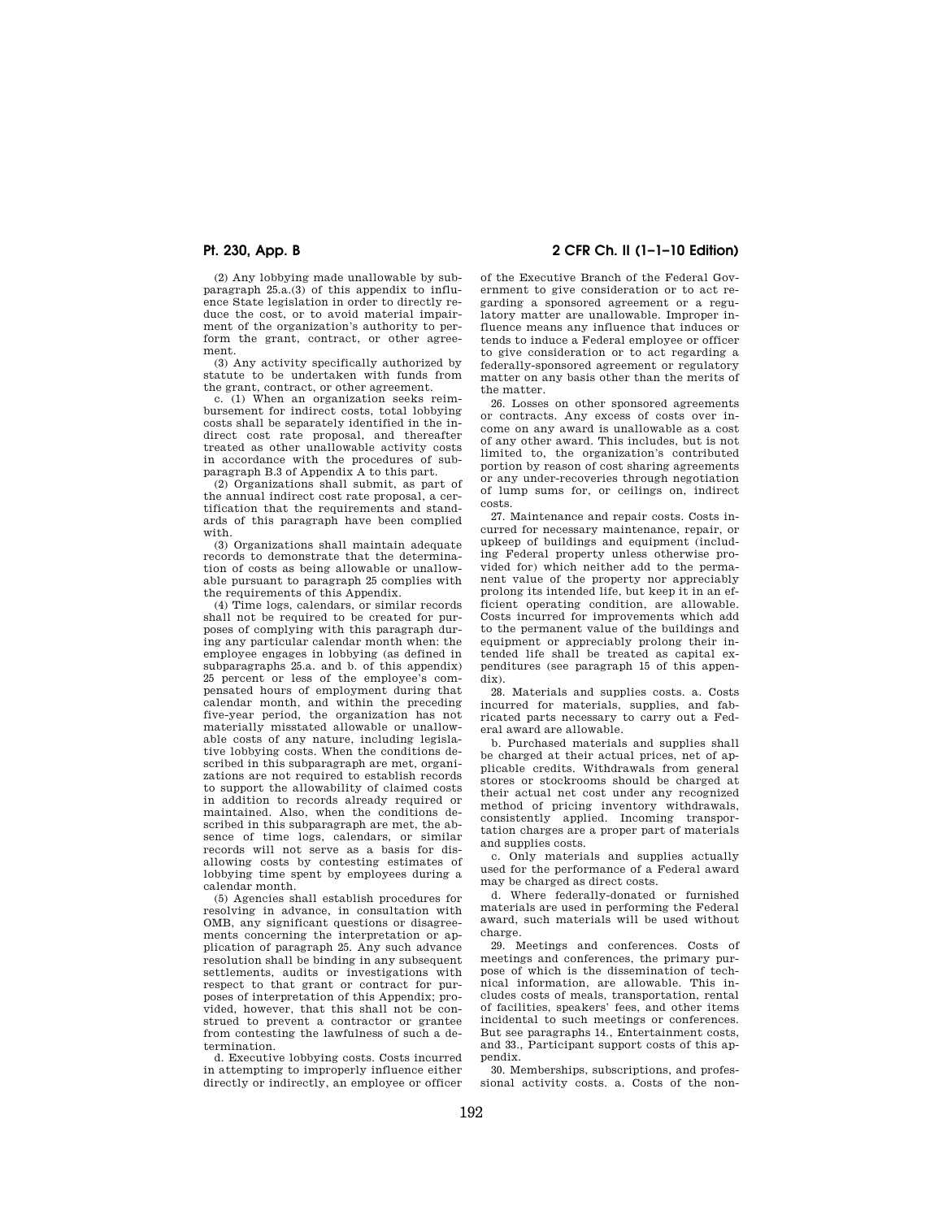(2) Any lobbying made unallowable by subparagraph 25.a.(3) of this appendix to influence State legislation in order to directly reduce the cost, or to avoid material impairment of the organization's authority to perform the grant, contract, or other agreement.

(3) Any activity specifically authorized by statute to be undertaken with funds from the grant, contract, or other agreement.

c. (1) When an organization seeks reimbursement for indirect costs, total lobbying costs shall be separately identified in the indirect cost rate proposal, and thereafter treated as other unallowable activity costs in accordance with the procedures of subparagraph B.3 of Appendix A to this part.

(2) Organizations shall submit, as part of the annual indirect cost rate proposal, a certification that the requirements and standards of this paragraph have been complied with.

(3) Organizations shall maintain adequate records to demonstrate that the determination of costs as being allowable or unallowable pursuant to paragraph 25 complies with the requirements of this Appendix.

(4) Time logs, calendars, or similar records shall not be required to be created for purposes of complying with this paragraph during any particular calendar month when: the employee engages in lobbying (as defined in subparagraphs 25.a. and b. of this appendix) 25 percent or less of the employee's compensated hours of employment during that calendar month, and within the preceding five-year period, the organization has not materially misstated allowable or unallowable costs of any nature, including legislative lobbying costs. When the conditions described in this subparagraph are met, organizations are not required to establish records to support the allowability of claimed costs in addition to records already required or maintained. Also, when the conditions described in this subparagraph are met, the absence of time logs, calendars, or similar records will not serve as a basis for disallowing costs by contesting estimates of lobbying time spent by employees during a calendar month.

(5) Agencies shall establish procedures for resolving in advance, in consultation with OMB, any significant questions or disagreements concerning the interpretation or application of paragraph 25. Any such advance resolution shall be binding in any subsequent settlements, audits or investigations with respect to that grant or contract for purposes of interpretation of this Appendix; provided, however, that this shall not be construed to prevent a contractor or grantee from contesting the lawfulness of such a determination.

d. Executive lobbying costs. Costs incurred in attempting to improperly influence either directly or indirectly, an employee or officer

# **Pt. 230, App. B 2 CFR Ch. II (1–1–10 Edition)**

of the Executive Branch of the Federal Government to give consideration or to act regarding a sponsored agreement or a regulatory matter are unallowable. Improper influence means any influence that induces or tends to induce a Federal employee or officer to give consideration or to act regarding a federally-sponsored agreement or regulatory matter on any basis other than the merits of the matter.

26. Losses on other sponsored agreements or contracts. Any excess of costs over income on any award is unallowable as a cost of any other award. This includes, but is not limited to, the organization's contributed portion by reason of cost sharing agreements or any under-recoveries through negotiation of lump sums for, or ceilings on, indirect costs.

27. Maintenance and repair costs. Costs incurred for necessary maintenance, repair, or upkeep of buildings and equipment (including Federal property unless otherwise provided for) which neither add to the permanent value of the property nor appreciably prolong its intended life, but keep it in an efficient operating condition, are allowable. Costs incurred for improvements which add to the permanent value of the buildings and equipment or appreciably prolong their intended life shall be treated as capital expenditures (see paragraph 15 of this appendix).

28. Materials and supplies costs. a. Costs incurred for materials, supplies, and fabricated parts necessary to carry out a Federal award are allowable.

b. Purchased materials and supplies shall be charged at their actual prices, net of applicable credits. Withdrawals from general stores or stockrooms should be charged at their actual net cost under any recognized method of pricing inventory withdrawals, consistently applied. Incoming transportation charges are a proper part of materials and supplies costs.

c. Only materials and supplies actually used for the performance of a Federal award may be charged as direct costs.

d. Where federally-donated or furnished materials are used in performing the Federal award, such materials will be used without charge.

29. Meetings and conferences. Costs of meetings and conferences, the primary purpose of which is the dissemination of technical information, are allowable. This includes costs of meals, transportation, rental of facilities, speakers' fees, and other items incidental to such meetings or conferences. But see paragraphs 14., Entertainment costs, and 33., Participant support costs of this appendix.

30. Memberships, subscriptions, and professional activity costs. a. Costs of the non-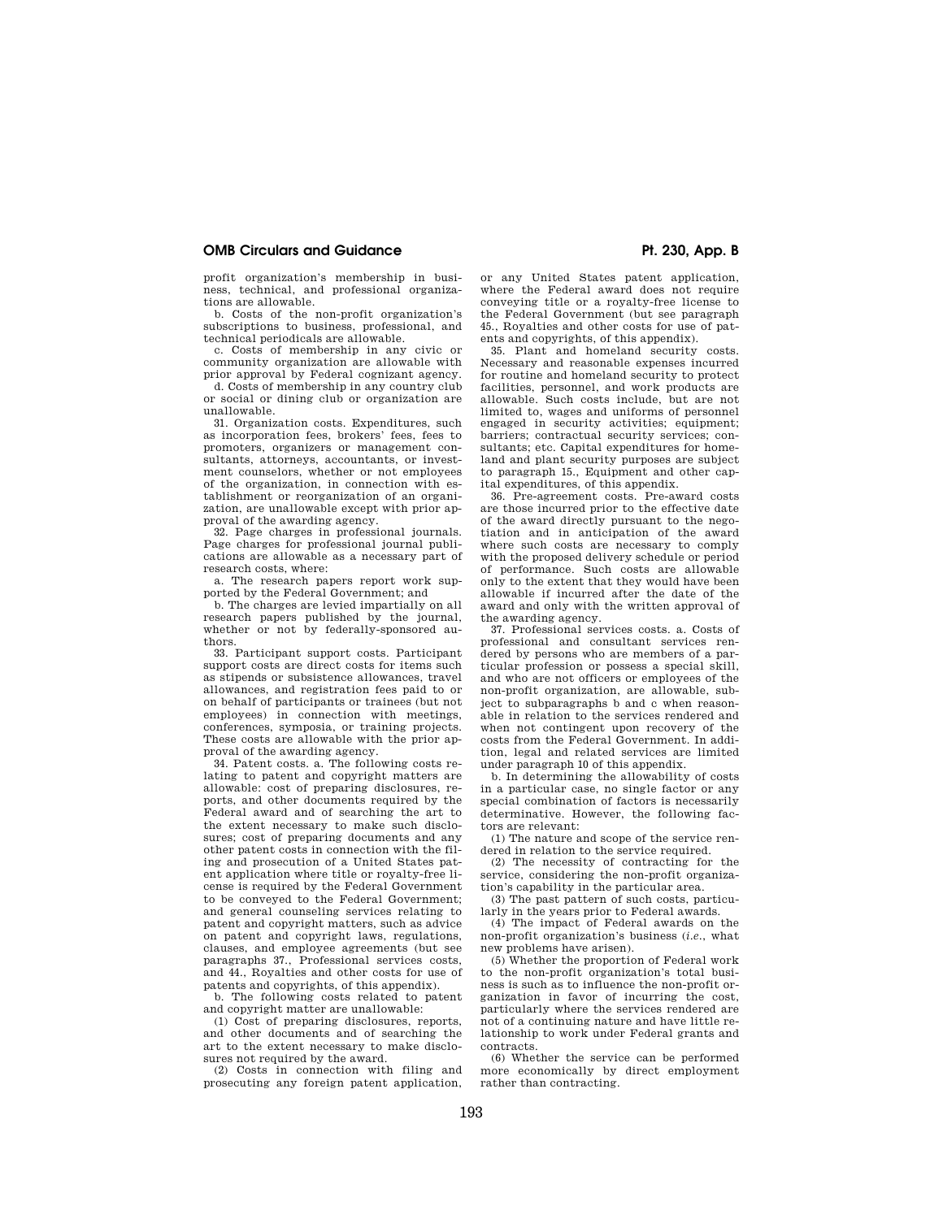profit organization's membership in business, technical, and professional organizations are allowable.

b. Costs of the non-profit organization's subscriptions to business, professional, and technical periodicals are allowable.

c. Costs of membership in any civic or community organization are allowable with prior approval by Federal cognizant agency.

d. Costs of membership in any country club or social or dining club or organization are unallowable.

31. Organization costs. Expenditures, such as incorporation fees, brokers' fees, fees to promoters, organizers or management consultants, attorneys, accountants, or investment counselors, whether or not employees of the organization, in connection with establishment or reorganization of an organization, are unallowable except with prior approval of the awarding agency.

32. Page charges in professional journals. Page charges for professional journal publications are allowable as a necessary part of research costs, where:

a. The research papers report work supported by the Federal Government; and

b. The charges are levied impartially on all research papers published by the journal, whether or not by federally-sponsored authors.

33. Participant support costs. Participant support costs are direct costs for items such as stipends or subsistence allowances, travel allowances, and registration fees paid to or on behalf of participants or trainees (but not employees) in connection with meetings, conferences, symposia, or training projects. These costs are allowable with the prior approval of the awarding agency.

34. Patent costs. a. The following costs relating to patent and copyright matters are allowable: cost of preparing disclosures, reports, and other documents required by the Federal award and of searching the art to the extent necessary to make such disclosures; cost of preparing documents and any other patent costs in connection with the filing and prosecution of a United States patent application where title or royalty-free license is required by the Federal Government to be conveyed to the Federal Government; and general counseling services relating to patent and copyright matters, such as advice on patent and copyright laws, regulations, clauses, and employee agreements (but see paragraphs 37., Professional services costs, and 44., Royalties and other costs for use of patents and copyrights, of this appendix).

b. The following costs related to patent and copyright matter are unallowable:

(1) Cost of preparing disclosures, reports, and other documents and of searching the art to the extent necessary to make disclosures not required by the award.

(2) Costs in connection with filing and prosecuting any foreign patent application, or any United States patent application, where the Federal award does not require conveying title or a royalty-free license to the Federal Government (but see paragraph 45., Royalties and other costs for use of patents and copyrights, of this appendix).

35. Plant and homeland security costs. Necessary and reasonable expenses incurred for routine and homeland security to protect facilities, personnel, and work products are allowable. Such costs include, but are not limited to, wages and uniforms of personnel engaged in security activities; equipment; barriers; contractual security services; consultants; etc. Capital expenditures for homeland and plant security purposes are subject to paragraph 15., Equipment and other capital expenditures, of this appendix.

36. Pre-agreement costs. Pre-award costs are those incurred prior to the effective date of the award directly pursuant to the negotiation and in anticipation of the award where such costs are necessary to comply with the proposed delivery schedule or period of performance. Such costs are allowable only to the extent that they would have been allowable if incurred after the date of the award and only with the written approval of the awarding agency.

37. Professional services costs. a. Costs of professional and consultant services rendered by persons who are members of a particular profession or possess a special skill, and who are not officers or employees of the non-profit organization, are allowable, subject to subparagraphs b and c when reasonable in relation to the services rendered and when not contingent upon recovery of the costs from the Federal Government. In addition, legal and related services are limited under paragraph 10 of this appendix.

b. In determining the allowability of costs in a particular case, no single factor or any special combination of factors is necessarily determinative. However, the following factors are relevant:

(1) The nature and scope of the service rendered in relation to the service required.

(2) The necessity of contracting for the service, considering the non-profit organization's capability in the particular area.

(3) The past pattern of such costs, particularly in the years prior to Federal awards.

(4) The impact of Federal awards on the non-profit organization's business (*i.e.*, what new problems have arisen).

(5) Whether the proportion of Federal work to the non-profit organization's total business is such as to influence the non-profit organization in favor of incurring the cost, particularly where the services rendered are not of a continuing nature and have little relationship to work under Federal grants and contracts.

(6) Whether the service can be performed more economically by direct employment rather than contracting.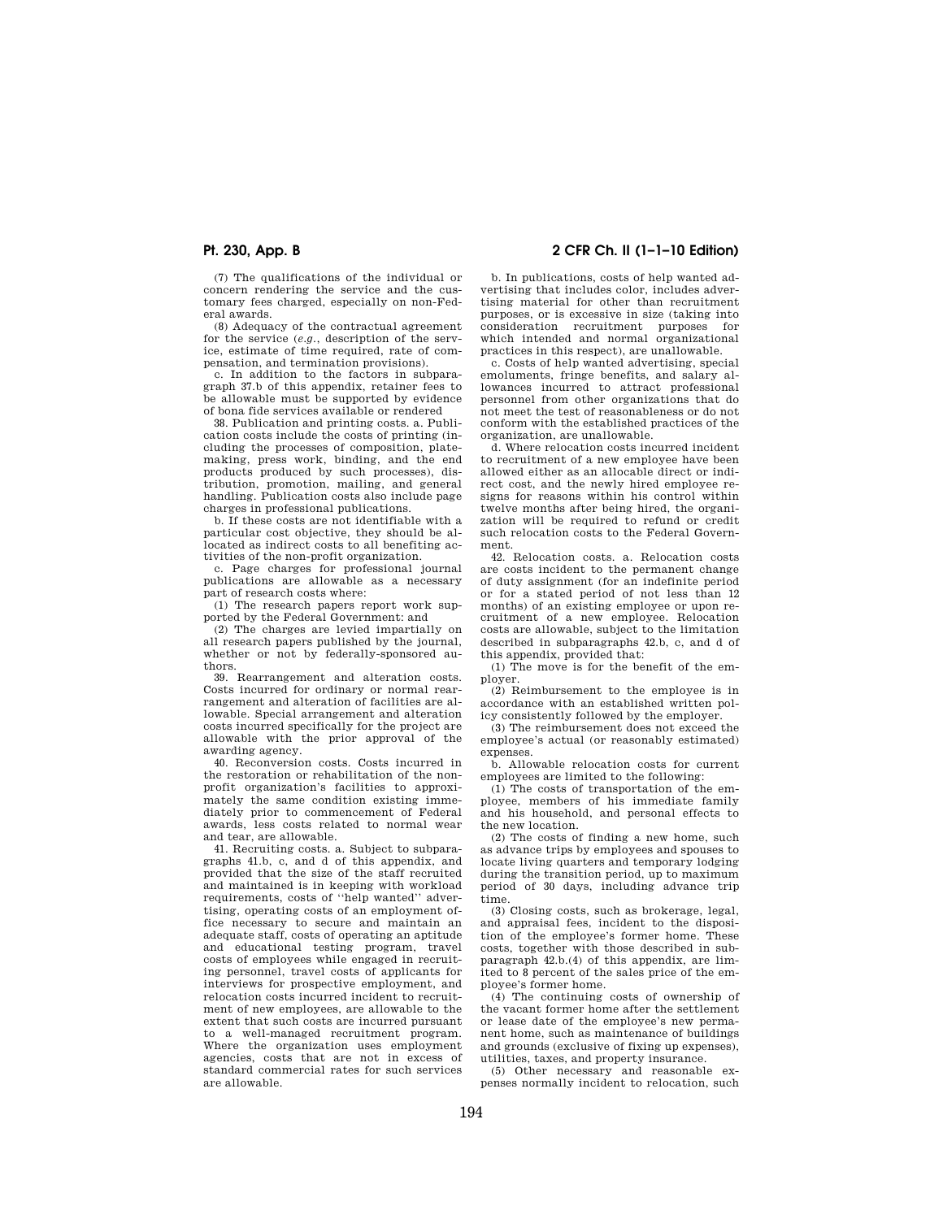(7) The qualifications of the individual or concern rendering the service and the customary fees charged, especially on non-Federal awards.

(8) Adequacy of the contractual agreement for the service (*e.g.*, description of the service, estimate of time required, rate of compensation, and termination provisions).

c. In addition to the factors in subparagraph 37.b of this appendix, retainer fees to be allowable must be supported by evidence of bona fide services available or rendered

38. Publication and printing costs. a. Publication costs include the costs of printing (including the processes of composition, platemaking, press work, binding, and the end products produced by such processes), distribution, promotion, mailing, and general handling. Publication costs also include page charges in professional publications.

b. If these costs are not identifiable with a particular cost objective, they should be allocated as indirect costs to all benefiting activities of the non-profit organization.

c. Page charges for professional journal publications are allowable as a necessary part of research costs where:

(1) The research papers report work supported by the Federal Government: and

(2) The charges are levied impartially on all research papers published by the journal, whether or not by federally-sponsored authors.

39. Rearrangement and alteration costs. Costs incurred for ordinary or normal rearrangement and alteration of facilities are allowable. Special arrangement and alteration costs incurred specifically for the project are allowable with the prior approval of the awarding agency.

40. Reconversion costs. Costs incurred in the restoration or rehabilitation of the nonprofit organization's facilities to approximately the same condition existing immediately prior to commencement of Federal awards, less costs related to normal wear and tear, are allowable.

41. Recruiting costs. a. Subject to subparagraphs 41.b, c, and d of this appendix, and provided that the size of the staff recruited and maintained is in keeping with workload requirements, costs of ''help wanted'' advertising, operating costs of an employment office necessary to secure and maintain an adequate staff, costs of operating an aptitude and educational testing program, travel costs of employees while engaged in recruiting personnel, travel costs of applicants for interviews for prospective employment, and relocation costs incurred incident to recruitment of new employees, are allowable to the extent that such costs are incurred pursuant to a well-managed recruitment program. Where the organization uses employment agencies, costs that are not in excess of standard commercial rates for such services are allowable.

# **Pt. 230, App. B 2 CFR Ch. II (1–1–10 Edition)**

b. In publications, costs of help wanted advertising that includes color, includes advertising material for other than recruitment purposes, or is excessive in size (taking into consideration recruitment purposes for which intended and normal organizational practices in this respect), are unallowable.

c. Costs of help wanted advertising, special emoluments, fringe benefits, and salary allowances incurred to attract professional personnel from other organizations that do not meet the test of reasonableness or do not conform with the established practices of the organization, are unallowable.

d. Where relocation costs incurred incident to recruitment of a new employee have been allowed either as an allocable direct or indirect cost, and the newly hired employee resigns for reasons within his control within twelve months after being hired, the organization will be required to refund or credit such relocation costs to the Federal Government.

42. Relocation costs. a. Relocation costs are costs incident to the permanent change of duty assignment (for an indefinite period or for a stated period of not less than 12 months) of an existing employee or upon recruitment of a new employee. Relocation costs are allowable, subject to the limitation described in subparagraphs 42.b, c, and d of this appendix, provided that:

(1) The move is for the benefit of the employer.

(2) Reimbursement to the employee is in accordance with an established written policy consistently followed by the employer.

(3) The reimbursement does not exceed the employee's actual (or reasonably estimated) expenses.

b. Allowable relocation costs for current employees are limited to the following:

(1) The costs of transportation of the employee, members of his immediate family and his household, and personal effects to the new location.

(2) The costs of finding a new home, such as advance trips by employees and spouses to locate living quarters and temporary lodging during the transition period, up to maximum period of 30 days, including advance trip time.

(3) Closing costs, such as brokerage, legal, and appraisal fees, incident to the disposition of the employee's former home. These costs, together with those described in subparagraph 42.b.(4) of this appendix, are limited to 8 percent of the sales price of the employee's former home.

(4) The continuing costs of ownership of the vacant former home after the settlement or lease date of the employee's new permanent home, such as maintenance of buildings and grounds (exclusive of fixing up expenses), utilities, taxes, and property insurance.

(5) Other necessary and reasonable expenses normally incident to relocation, such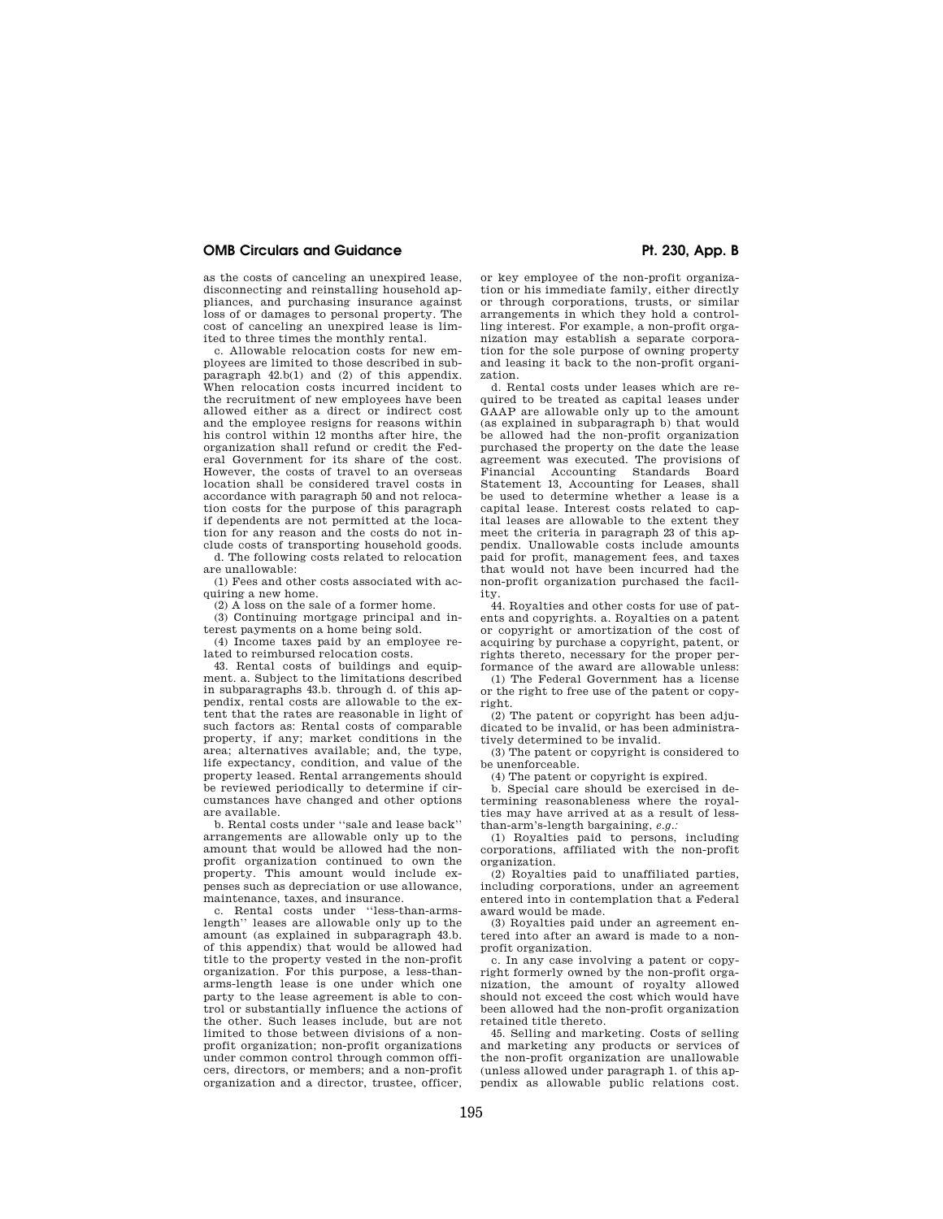as the costs of canceling an unexpired lease, disconnecting and reinstalling household appliances, and purchasing insurance against loss of or damages to personal property. The cost of canceling an unexpired lease is limited to three times the monthly rental.

c. Allowable relocation costs for new employees are limited to those described in subparagraph 42.b(1) and (2) of this appendix. When relocation costs incurred incident to the recruitment of new employees have been allowed either as a direct or indirect cost and the employee resigns for reasons within his control within 12 months after hire, the organization shall refund or credit the Federal Government for its share of the cost. However, the costs of travel to an overseas location shall be considered travel costs in accordance with paragraph 50 and not relocation costs for the purpose of this paragraph if dependents are not permitted at the location for any reason and the costs do not include costs of transporting household goods. d. The following costs related to relocation

are unallowable:

(1) Fees and other costs associated with acquiring a new home.

(2) A loss on the sale of a former home. (3) Continuing mortgage principal and in-

terest payments on a home being sold. (4) Income taxes paid by an employee re-

lated to reimbursed relocation costs. 43. Rental costs of buildings and equipment. a. Subject to the limitations described in subparagraphs 43.b. through d. of this appendix, rental costs are allowable to the extent that the rates are reasonable in light of such factors as: Rental costs of comparable property, if any; market conditions in the area; alternatives available; and, the type, life expectancy, condition, and value of the property leased. Rental arrangements should be reviewed periodically to determine if circumstances have changed and other options are available.

b. Rental costs under ''sale and lease back'' arrangements are allowable only up to the amount that would be allowed had the nonprofit organization continued to own the property. This amount would include expenses such as depreciation or use allowance, maintenance, taxes, and insurance.

c. Rental costs under ''less-than-armslength'' leases are allowable only up to the amount (as explained in subparagraph 43.b. of this appendix) that would be allowed had title to the property vested in the non-profit organization. For this purpose, a less-thanarms-length lease is one under which one party to the lease agreement is able to control or substantially influence the actions of the other. Such leases include, but are not limited to those between divisions of a nonprofit organization; non-profit organizations under common control through common officers, directors, or members; and a non-profit organization and a director, trustee, officer,

or key employee of the non-profit organization or his immediate family, either directly or through corporations, trusts, or similar arrangements in which they hold a controlling interest. For example, a non-profit organization may establish a separate corporation for the sole purpose of owning property and leasing it back to the non-profit organization.

d. Rental costs under leases which are required to be treated as capital leases under GAAP are allowable only up to the amount (as explained in subparagraph b) that would be allowed had the non-profit organization purchased the property on the date the lease agreement was executed. The provisions of Financial Accounting Standards Board Statement 13, Accounting for Leases, shall be used to determine whether a lease is a capital lease. Interest costs related to capital leases are allowable to the extent they meet the criteria in paragraph 23 of this appendix. Unallowable costs include amounts paid for profit, management fees, and taxes that would not have been incurred had the non-profit organization purchased the facility.

44. Royalties and other costs for use of patents and copyrights. a. Royalties on a patent or copyright or amortization of the cost of acquiring by purchase a copyright, patent, or rights thereto, necessary for the proper performance of the award are allowable unless:

(1) The Federal Government has a license or the right to free use of the patent or copyright.

(2) The patent or copyright has been adjudicated to be invalid, or has been administratively determined to be invalid.

(3) The patent or copyright is considered to be unenforceable.

(4) The patent or copyright is expired.

b. Special care should be exercised in determining reasonableness where the royalties may have arrived at as a result of lessthan-arm's-length bargaining, *e.g.:* 

(1) Royalties paid to persons, including corporations, affiliated with the non-profit organization.

(2) Royalties paid to unaffiliated parties, including corporations, under an agreement entered into in contemplation that a Federal award would be made.

(3) Royalties paid under an agreement entered into after an award is made to a nonprofit organization.

c. In any case involving a patent or copyright formerly owned by the non-profit organization, the amount of royalty allowed should not exceed the cost which would have been allowed had the non-profit organization retained title thereto.

45. Selling and marketing. Costs of selling and marketing any products or services of the non-profit organization are unallowable (unless allowed under paragraph 1. of this appendix as allowable public relations cost.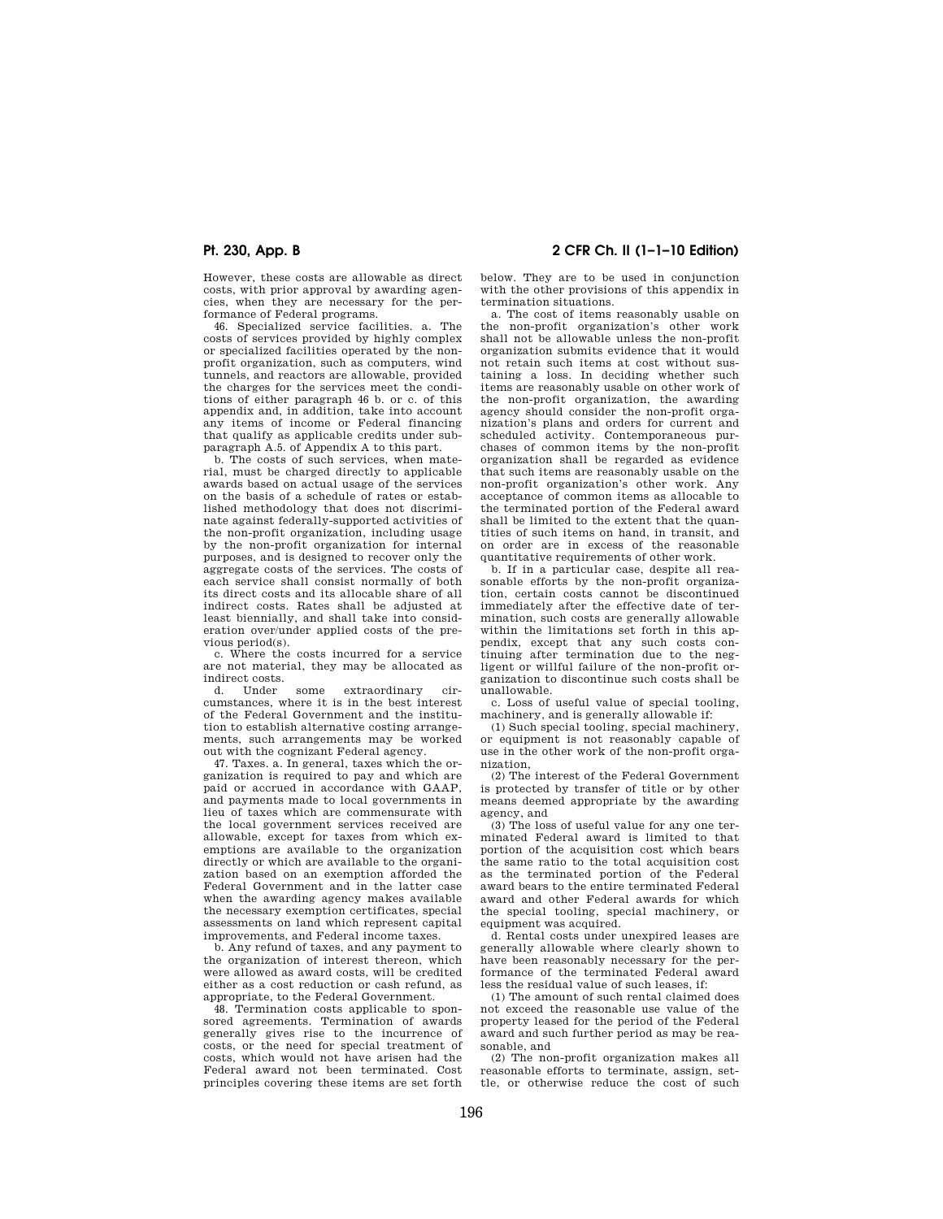However, these costs are allowable as direct costs, with prior approval by awarding agencies, when they are necessary for the performance of Federal programs.

46. Specialized service facilities. a. The costs of services provided by highly complex or specialized facilities operated by the nonprofit organization, such as computers, wind tunnels, and reactors are allowable, provided the charges for the services meet the conditions of either paragraph 46 b. or c. of this appendix and, in addition, take into account any items of income or Federal financing that qualify as applicable credits under subparagraph A.5. of Appendix A to this part.

b. The costs of such services, when material, must be charged directly to applicable awards based on actual usage of the services on the basis of a schedule of rates or established methodology that does not discriminate against federally-supported activities of the non-profit organization, including usage by the non-profit organization for internal purposes, and is designed to recover only the aggregate costs of the services. The costs of each service shall consist normally of both its direct costs and its allocable share of all indirect costs. Rates shall be adjusted at least biennially, and shall take into consideration over/under applied costs of the previous period(s).

c. Where the costs incurred for a service are not material, they may be allocated as indirect costs.<br>d. Under

d. Under some extraordinary circumstances, where it is in the best interest of the Federal Government and the institution to establish alternative costing arrangements, such arrangements may be worked out with the cognizant Federal agency.

47. Taxes. a. In general, taxes which the organization is required to pay and which are paid or accrued in accordance with GAAP, and payments made to local governments in lieu of taxes which are commensurate with the local government services received are allowable, except for taxes from which exemptions are available to the organization directly or which are available to the organization based on an exemption afforded the Federal Government and in the latter case when the awarding agency makes available the necessary exemption certificates, special assessments on land which represent capital improvements, and Federal income taxes.

b. Any refund of taxes, and any payment to the organization of interest thereon, which were allowed as award costs, will be credited either as a cost reduction or cash refund, as appropriate, to the Federal Government.

48. Termination costs applicable to sponsored agreements. Termination of awards generally gives rise to the incurrence of costs, or the need for special treatment of costs, which would not have arisen had the Federal award not been terminated. Cost principles covering these items are set forth

**Pt. 230, App. B 2 CFR Ch. II (1–1–10 Edition)** 

below. They are to be used in conjunction with the other provisions of this appendix in termination situations.

a. The cost of items reasonably usable on the non-profit organization's other work shall not be allowable unless the non-profit organization submits evidence that it would not retain such items at cost without sustaining a loss. In deciding whether such items are reasonably usable on other work of the non-profit organization, the awarding agency should consider the non-profit organization's plans and orders for current and scheduled activity. Contemporaneous purchases of common items by the non-profit organization shall be regarded as evidence that such items are reasonably usable on the non-profit organization's other work. Any acceptance of common items as allocable to the terminated portion of the Federal award shall be limited to the extent that the quantities of such items on hand, in transit, and on order are in excess of the reasonable quantitative requirements of other work.

b. If in a particular case, despite all reasonable efforts by the non-profit organization, certain costs cannot be discontinued immediately after the effective date of termination, such costs are generally allowable within the limitations set forth in this appendix, except that any such costs continuing after termination due to the negligent or willful failure of the non-profit organization to discontinue such costs shall be unallowable.

c. Loss of useful value of special tooling, machinery, and is generally allowable if:

(1) Such special tooling, special machinery, or equipment is not reasonably capable of use in the other work of the non-profit organization,

(2) The interest of the Federal Government is protected by transfer of title or by other means deemed appropriate by the awarding agency, and

(3) The loss of useful value for any one terminated Federal award is limited to that portion of the acquisition cost which bears the same ratio to the total acquisition cost as the terminated portion of the Federal award bears to the entire terminated Federal award and other Federal awards for which the special tooling, special machinery, or equipment was acquired.

d. Rental costs under unexpired leases are generally allowable where clearly shown to have been reasonably necessary for the performance of the terminated Federal award less the residual value of such leases, if:

(1) The amount of such rental claimed does not exceed the reasonable use value of the property leased for the period of the Federal award and such further period as may be reasonable, and

(2) The non-profit organization makes all reasonable efforts to terminate, assign, settle, or otherwise reduce the cost of such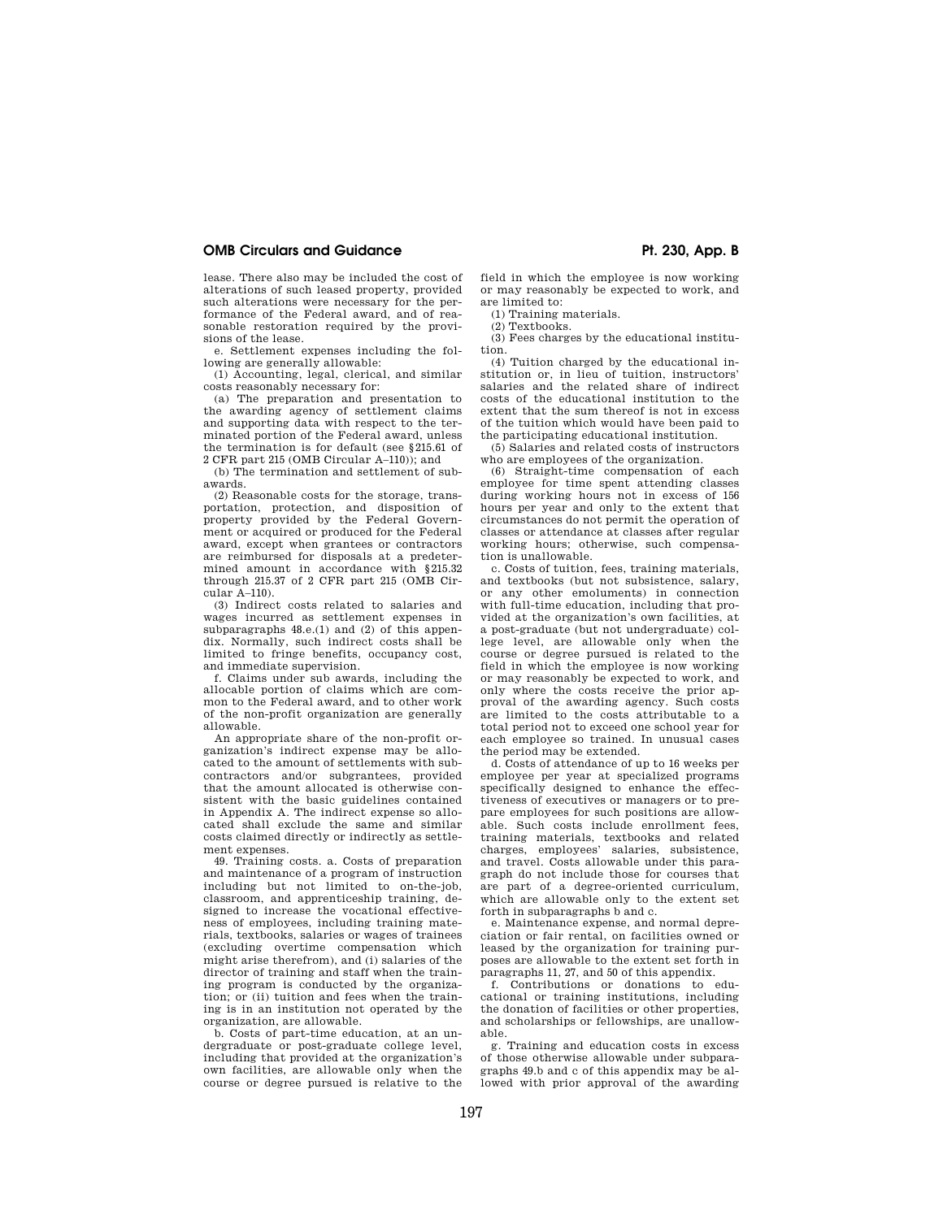lease. There also may be included the cost of alterations of such leased property, provided such alterations were necessary for the performance of the Federal award, and of reasonable restoration required by the provisions of the lease.

e. Settlement expenses including the following are generally allowable:

(1) Accounting, legal, clerical, and similar costs reasonably necessary for:

(a) The preparation and presentation to the awarding agency of settlement claims and supporting data with respect to the terminated portion of the Federal award, unless the termination is for default (see §215.61 of 2 CFR part 215 (OMB Circular A–110)); and

(b) The termination and settlement of subawards.

(2) Reasonable costs for the storage, transportation, protection, and disposition of property provided by the Federal Government or acquired or produced for the Federal award, except when grantees or contractors are reimbursed for disposals at a predetermined amount in accordance with §215.32 through 215.37 of 2 CFR part 215 (OMB Circular A–110).

(3) Indirect costs related to salaries and wages incurred as settlement expenses in subparagraphs 48.e.(1) and (2) of this appendix. Normally, such indirect costs shall be limited to fringe benefits, occupancy cost, and immediate supervision.

f. Claims under sub awards, including the allocable portion of claims which are common to the Federal award, and to other work of the non-profit organization are generally allowable.

An appropriate share of the non-profit organization's indirect expense may be allocated to the amount of settlements with subcontractors and/or subgrantees, provided that the amount allocated is otherwise consistent with the basic guidelines contained in Appendix A. The indirect expense so allocated shall exclude the same and similar costs claimed directly or indirectly as settlement expenses.

49. Training costs. a. Costs of preparation and maintenance of a program of instruction including but not limited to on-the-job, classroom, and apprenticeship training, designed to increase the vocational effectiveness of employees, including training materials, textbooks, salaries or wages of trainees (excluding overtime compensation which might arise therefrom), and (i) salaries of the director of training and staff when the training program is conducted by the organization; or (ii) tuition and fees when the training is in an institution not operated by the organization, are allowable.

b. Costs of part-time education, at an undergraduate or post-graduate college level, including that provided at the organization's own facilities, are allowable only when the course or degree pursued is relative to the field in which the employee is now working or may reasonably be expected to work, and are limited to:

(1) Training materials. (2) Textbooks.

(3) Fees charges by the educational institution.

(4) Tuition charged by the educational institution or, in lieu of tuition, instructors' salaries and the related share of indirect costs of the educational institution to the extent that the sum thereof is not in excess of the tuition which would have been paid to the participating educational institution.

(5) Salaries and related costs of instructors who are employees of the organization.

(6) Straight-time compensation of each employee for time spent attending classes during working hours not in excess of 156 hours per year and only to the extent that circumstances do not permit the operation of classes or attendance at classes after regular working hours; otherwise, such compensation is unallowable.

c. Costs of tuition, fees, training materials, and textbooks (but not subsistence, salary, or any other emoluments) in connection with full-time education, including that provided at the organization's own facilities, at a post-graduate (but not undergraduate) college level, are allowable only when the course or degree pursued is related to the field in which the employee is now working or may reasonably be expected to work, and only where the costs receive the prior approval of the awarding agency. Such costs are limited to the costs attributable to a total period not to exceed one school year for each employee so trained. In unusual cases the period may be extended.

d. Costs of attendance of up to 16 weeks per employee per year at specialized programs specifically designed to enhance the effectiveness of executives or managers or to prepare employees for such positions are allowable. Such costs include enrollment fees, training materials, textbooks and related charges, employees' salaries, subsistence, and travel. Costs allowable under this paragraph do not include those for courses that are part of a degree-oriented curriculum, which are allowable only to the extent set forth in subparagraphs b and c.

e. Maintenance expense, and normal depreciation or fair rental, on facilities owned or leased by the organization for training purposes are allowable to the extent set forth in paragraphs 11, 27, and 50 of this appendix.

f. Contributions or donations to educational or training institutions, including the donation of facilities or other properties, and scholarships or fellowships, are unallowable.

g. Training and education costs in excess of those otherwise allowable under subparagraphs 49.b and c of this appendix may be allowed with prior approval of the awarding